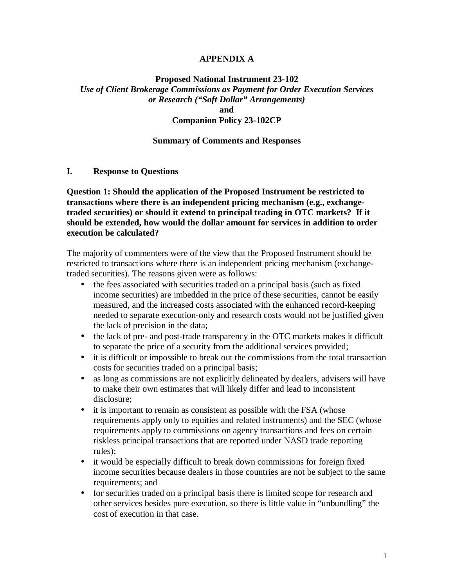#### **APPENDIX A**

#### **Proposed National Instrument 23-102**  *Use of Client Brokerage Commissions as Payment for Order Execution Services or Research ("Soft Dollar" Arrangements)* **and**

### **Companion Policy 23-102CP**

#### **Summary of Comments and Responses**

**I. Response to Questions** 

**Question 1: Should the application of the Proposed Instrument be restricted to transactions where there is an independent pricing mechanism (e.g., exchangetraded securities) or should it extend to principal trading in OTC markets? If it should be extended, how would the dollar amount for services in addition to order execution be calculated?** 

The majority of commenters were of the view that the Proposed Instrument should be restricted to transactions where there is an independent pricing mechanism (exchangetraded securities). The reasons given were as follows:

- the fees associated with securities traded on a principal basis (such as fixed income securities) are imbedded in the price of these securities, cannot be easily measured, and the increased costs associated with the enhanced record-keeping needed to separate execution-only and research costs would not be justified given the lack of precision in the data;
- the lack of pre- and post-trade transparency in the OTC markets makes it difficult to separate the price of a security from the additional services provided;
- it is difficult or impossible to break out the commissions from the total transaction costs for securities traded on a principal basis;
- as long as commissions are not explicitly delineated by dealers, advisers will have to make their own estimates that will likely differ and lead to inconsistent disclosure;
- it is important to remain as consistent as possible with the FSA (whose requirements apply only to equities and related instruments) and the SEC (whose requirements apply to commissions on agency transactions and fees on certain riskless principal transactions that are reported under NASD trade reporting rules);
- it would be especially difficult to break down commissions for foreign fixed income securities because dealers in those countries are not be subject to the same requirements; and
- for securities traded on a principal basis there is limited scope for research and other services besides pure execution, so there is little value in "unbundling" the cost of execution in that case.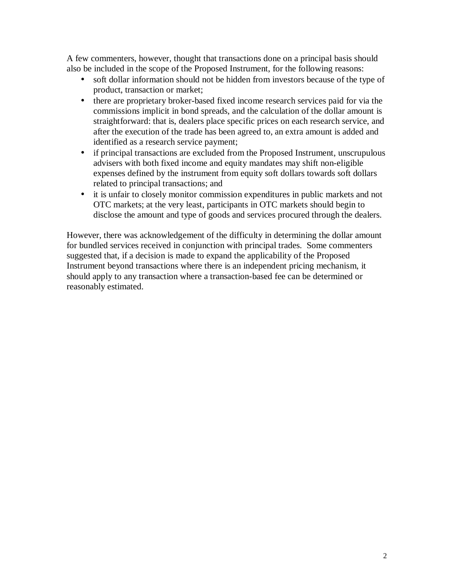A few commenters, however, thought that transactions done on a principal basis should also be included in the scope of the Proposed Instrument, for the following reasons:

- soft dollar information should not be hidden from investors because of the type of product, transaction or market;
- there are proprietary broker-based fixed income research services paid for via the commissions implicit in bond spreads, and the calculation of the dollar amount is straightforward: that is, dealers place specific prices on each research service, and after the execution of the trade has been agreed to, an extra amount is added and identified as a research service payment;
- if principal transactions are excluded from the Proposed Instrument, unscrupulous advisers with both fixed income and equity mandates may shift non-eligible expenses defined by the instrument from equity soft dollars towards soft dollars related to principal transactions; and
- it is unfair to closely monitor commission expenditures in public markets and not OTC markets; at the very least, participants in OTC markets should begin to disclose the amount and type of goods and services procured through the dealers.

However, there was acknowledgement of the difficulty in determining the dollar amount for bundled services received in conjunction with principal trades. Some commenters suggested that, if a decision is made to expand the applicability of the Proposed Instrument beyond transactions where there is an independent pricing mechanism, it should apply to any transaction where a transaction-based fee can be determined or reasonably estimated.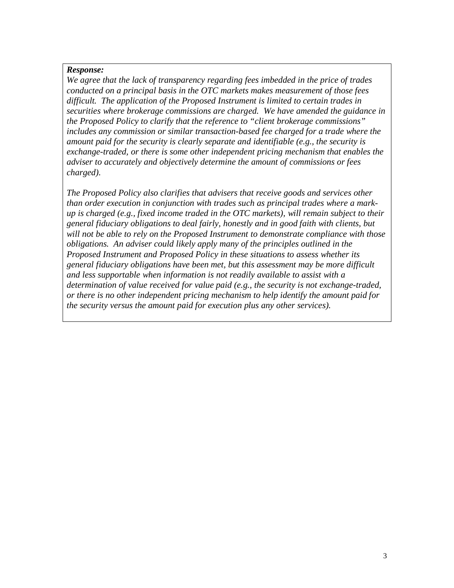*We agree that the lack of transparency regarding fees imbedded in the price of trades conducted on a principal basis in the OTC markets makes measurement of those fees difficult. The application of the Proposed Instrument is limited to certain trades in securities where brokerage commissions are charged. We have amended the guidance in the Proposed Policy to clarify that the reference to "client brokerage commissions" includes any commission or similar transaction-based fee charged for a trade where the amount paid for the security is clearly separate and identifiable (e.g., the security is exchange-traded, or there is some other independent pricing mechanism that enables the adviser to accurately and objectively determine the amount of commissions or fees charged).* 

*The Proposed Policy also clarifies that advisers that receive goods and services other than order execution in conjunction with trades such as principal trades where a markup is charged (e.g., fixed income traded in the OTC markets), will remain subject to their general fiduciary obligations to deal fairly, honestly and in good faith with clients, but will not be able to rely on the Proposed Instrument to demonstrate compliance with those obligations. An adviser could likely apply many of the principles outlined in the Proposed Instrument and Proposed Policy in these situations to assess whether its general fiduciary obligations have been met, but this assessment may be more difficult and less supportable when information is not readily available to assist with a determination of value received for value paid (e.g., the security is not exchange-traded, or there is no other independent pricing mechanism to help identify the amount paid for the security versus the amount paid for execution plus any other services).*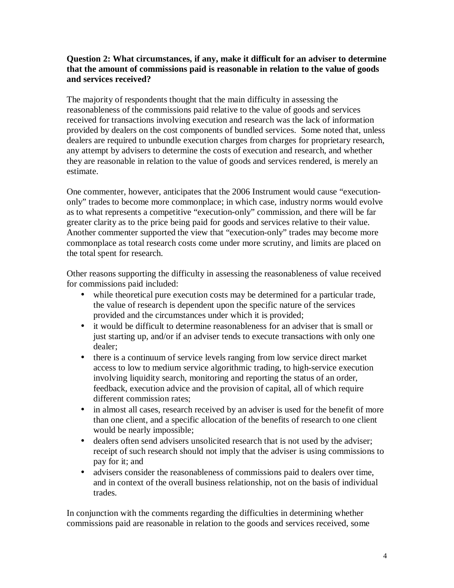# **Question 2: What circumstances, if any, make it difficult for an adviser to determine that the amount of commissions paid is reasonable in relation to the value of goods and services received?**

The majority of respondents thought that the main difficulty in assessing the reasonableness of the commissions paid relative to the value of goods and services received for transactions involving execution and research was the lack of information provided by dealers on the cost components of bundled services. Some noted that, unless dealers are required to unbundle execution charges from charges for proprietary research, any attempt by advisers to determine the costs of execution and research, and whether they are reasonable in relation to the value of goods and services rendered, is merely an estimate.

One commenter, however, anticipates that the 2006 Instrument would cause "executiononly" trades to become more commonplace; in which case, industry norms would evolve as to what represents a competitive "execution-only" commission, and there will be far greater clarity as to the price being paid for goods and services relative to their value. Another commenter supported the view that "execution-only" trades may become more commonplace as total research costs come under more scrutiny, and limits are placed on the total spent for research.

Other reasons supporting the difficulty in assessing the reasonableness of value received for commissions paid included:

- while theoretical pure execution costs may be determined for a particular trade, the value of research is dependent upon the specific nature of the services provided and the circumstances under which it is provided;
- it would be difficult to determine reasonableness for an adviser that is small or just starting up, and/or if an adviser tends to execute transactions with only one dealer;
- there is a continuum of service levels ranging from low service direct market access to low to medium service algorithmic trading, to high-service execution involving liquidity search, monitoring and reporting the status of an order, feedback, execution advice and the provision of capital, all of which require different commission rates;
- in almost all cases, research received by an adviser is used for the benefit of more than one client, and a specific allocation of the benefits of research to one client would be nearly impossible;
- dealers often send advisers unsolicited research that is not used by the adviser; receipt of such research should not imply that the adviser is using commissions to pay for it; and
- advisers consider the reasonableness of commissions paid to dealers over time, and in context of the overall business relationship, not on the basis of individual trades.

In conjunction with the comments regarding the difficulties in determining whether commissions paid are reasonable in relation to the goods and services received, some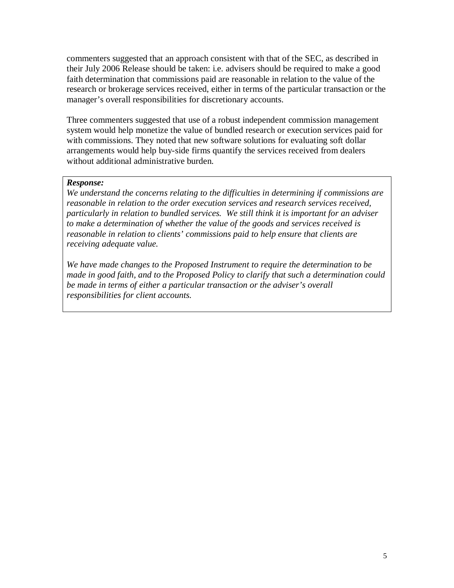commenters suggested that an approach consistent with that of the SEC, as described in their July 2006 Release should be taken: i.e. advisers should be required to make a good faith determination that commissions paid are reasonable in relation to the value of the research or brokerage services received, either in terms of the particular transaction or the manager's overall responsibilities for discretionary accounts.

Three commenters suggested that use of a robust independent commission management system would help monetize the value of bundled research or execution services paid for with commissions. They noted that new software solutions for evaluating soft dollar arrangements would help buy-side firms quantify the services received from dealers without additional administrative burden.

#### *Response:*

*We understand the concerns relating to the difficulties in determining if commissions are reasonable in relation to the order execution services and research services received, particularly in relation to bundled services. We still think it is important for an adviser to make a determination of whether the value of the goods and services received is reasonable in relation to clients' commissions paid to help ensure that clients are receiving adequate value.* 

*We have made changes to the Proposed Instrument to require the determination to be made in good faith, and to the Proposed Policy to clarify that such a determination could be made in terms of either a particular transaction or the adviser's overall responsibilities for client accounts.*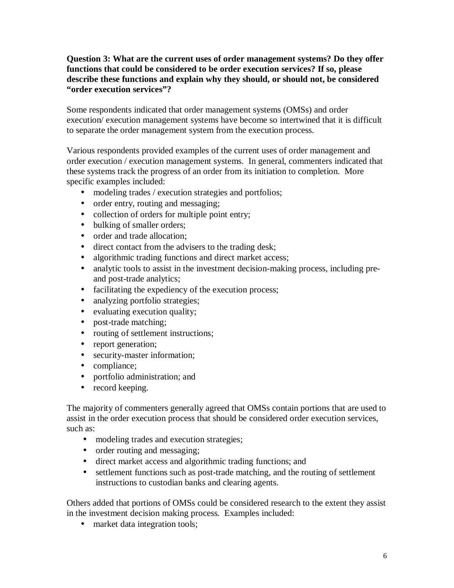# **Question 3: What are the current uses of order management systems? Do they offer functions that could be considered to be order execution services? If so, please describe these functions and explain why they should, or should not, be considered "order execution services"?**

Some respondents indicated that order management systems (OMSs) and order execution/ execution management systems have become so intertwined that it is difficult to separate the order management system from the execution process.

Various respondents provided examples of the current uses of order management and order execution / execution management systems. In general, commenters indicated that these systems track the progress of an order from its initiation to completion. More specific examples included:

- modeling trades / execution strategies and portfolios;
- order entry, routing and messaging;
- collection of orders for multiple point entry;
- bulking of smaller orders;
- order and trade allocation:
- direct contact from the advisers to the trading desk;
- algorithmic trading functions and direct market access;
- analytic tools to assist in the investment decision-making process, including preand post-trade analytics;
- facilitating the expediency of the execution process;
- analyzing portfolio strategies;
- evaluating execution quality;
- post-trade matching;
- routing of settlement instructions;
- report generation;
- security-master information;
- compliance:
- portfolio administration; and
- record keeping.

The majority of commenters generally agreed that OMSs contain portions that are used to assist in the order execution process that should be considered order execution services, such as:

- modeling trades and execution strategies;
- order routing and messaging;
- direct market access and algorithmic trading functions; and
- settlement functions such as post-trade matching, and the routing of settlement instructions to custodian banks and clearing agents.

Others added that portions of OMSs could be considered research to the extent they assist in the investment decision making process. Examples included:

• market data integration tools;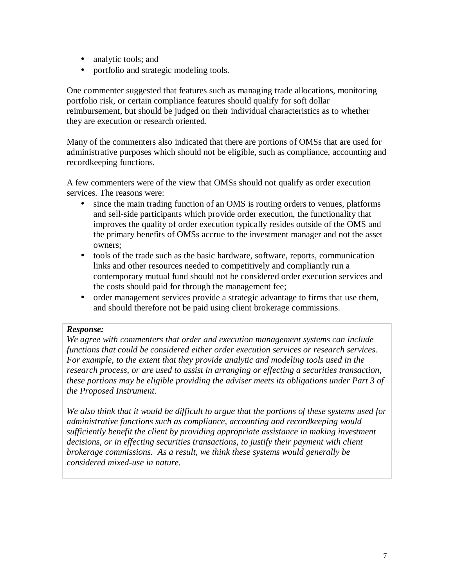- analytic tools; and
- portfolio and strategic modeling tools.

One commenter suggested that features such as managing trade allocations, monitoring portfolio risk, or certain compliance features should qualify for soft dollar reimbursement, but should be judged on their individual characteristics as to whether they are execution or research oriented.

Many of the commenters also indicated that there are portions of OMSs that are used for administrative purposes which should not be eligible, such as compliance, accounting and recordkeeping functions.

A few commenters were of the view that OMSs should not qualify as order execution services. The reasons were:

- since the main trading function of an OMS is routing orders to venues, platforms and sell-side participants which provide order execution, the functionality that improves the quality of order execution typically resides outside of the OMS and the primary benefits of OMSs accrue to the investment manager and not the asset owners;
- tools of the trade such as the basic hardware, software, reports, communication links and other resources needed to competitively and compliantly run a contemporary mutual fund should not be considered order execution services and the costs should paid for through the management fee;
- order management services provide a strategic advantage to firms that use them, and should therefore not be paid using client brokerage commissions.

#### *Response:*

*We agree with commenters that order and execution management systems can include functions that could be considered either order execution services or research services. For example, to the extent that they provide analytic and modeling tools used in the research process, or are used to assist in arranging or effecting a securities transaction, these portions may be eligible providing the adviser meets its obligations under Part 3 of the Proposed Instrument.* 

*We also think that it would be difficult to argue that the portions of these systems used for administrative functions such as compliance, accounting and recordkeeping would sufficiently benefit the client by providing appropriate assistance in making investment decisions, or in effecting securities transactions, to justify their payment with client brokerage commissions. As a result, we think these systems would generally be considered mixed-use in nature.*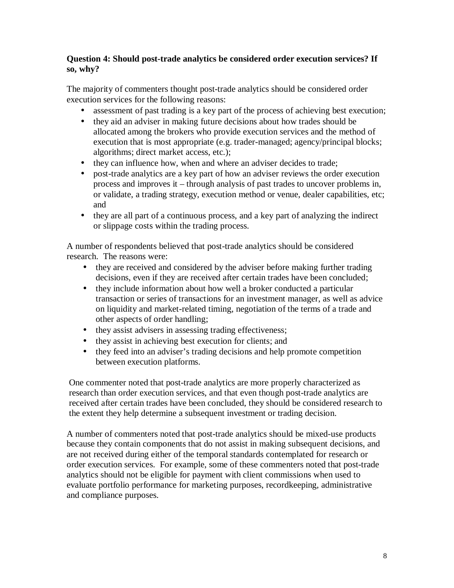# **Question 4: Should post-trade analytics be considered order execution services? If so, why?**

The majority of commenters thought post-trade analytics should be considered order execution services for the following reasons:

- assessment of past trading is a key part of the process of achieving best execution;
- they aid an adviser in making future decisions about how trades should be allocated among the brokers who provide execution services and the method of execution that is most appropriate (e.g. trader-managed; agency/principal blocks; algorithms; direct market access, etc.);
- they can influence how, when and where an adviser decides to trade;
- post-trade analytics are a key part of how an adviser reviews the order execution process and improves it – through analysis of past trades to uncover problems in, or validate, a trading strategy, execution method or venue, dealer capabilities, etc; and
- they are all part of a continuous process, and a key part of analyzing the indirect or slippage costs within the trading process.

A number of respondents believed that post-trade analytics should be considered research. The reasons were:

- they are received and considered by the adviser before making further trading decisions, even if they are received after certain trades have been concluded;
- they include information about how well a broker conducted a particular transaction or series of transactions for an investment manager, as well as advice on liquidity and market-related timing, negotiation of the terms of a trade and other aspects of order handling;
- they assist advisers in assessing trading effectiveness;
- they assist in achieving best execution for clients; and
- they feed into an adviser's trading decisions and help promote competition between execution platforms.

One commenter noted that post-trade analytics are more properly characterized as research than order execution services, and that even though post-trade analytics are received after certain trades have been concluded, they should be considered research to the extent they help determine a subsequent investment or trading decision.

A number of commenters noted that post-trade analytics should be mixed-use products because they contain components that do not assist in making subsequent decisions, and are not received during either of the temporal standards contemplated for research or order execution services. For example, some of these commenters noted that post-trade analytics should not be eligible for payment with client commissions when used to evaluate portfolio performance for marketing purposes, recordkeeping, administrative and compliance purposes.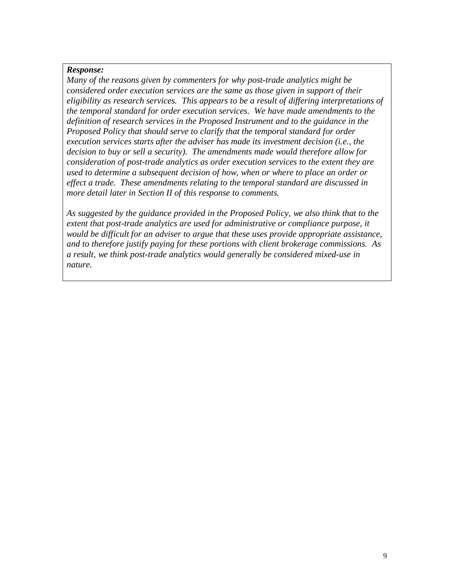*Many of the reasons given by commenters for why post-trade analytics might be considered order execution services are the same as those given in support of their eligibility as research services. This appears to be a result of differing interpretations of the temporal standard for order execution services. We have made amendments to the definition of research services in the Proposed Instrument and to the guidance in the Proposed Policy that should serve to clarify that the temporal standard for order execution services starts after the adviser has made its investment decision (i.e., the decision to buy or sell a security). The amendments made would therefore allow for consideration of post-trade analytics as order execution services to the extent they are used to determine a subsequent decision of how, when or where to place an order or effect a trade. These amendments relating to the temporal standard are discussed in more detail later in Section II of this response to comments.* 

*As suggested by the guidance provided in the Proposed Policy, we also think that to the extent that post-trade analytics are used for administrative or compliance purpose, it would be difficult for an adviser to argue that these uses provide appropriate assistance, and to therefore justify paying for these portions with client brokerage commissions. As a result, we think post-trade analytics would generally be considered mixed-use in nature.*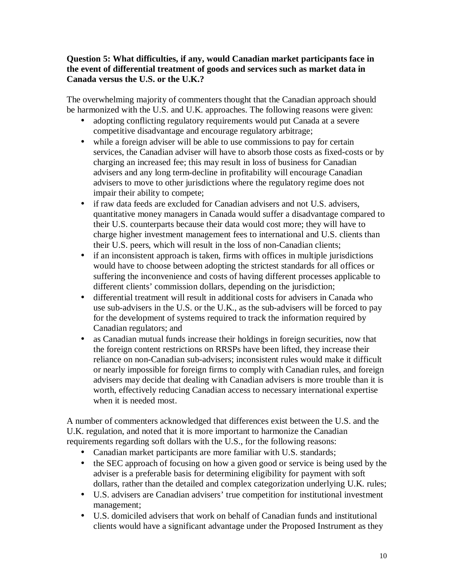# **Question 5: What difficulties, if any, would Canadian market participants face in the event of differential treatment of goods and services such as market data in Canada versus the U.S. or the U.K.?**

The overwhelming majority of commenters thought that the Canadian approach should be harmonized with the U.S. and U.K. approaches. The following reasons were given:

- adopting conflicting regulatory requirements would put Canada at a severe competitive disadvantage and encourage regulatory arbitrage;
- while a foreign adviser will be able to use commissions to pay for certain services, the Canadian adviser will have to absorb those costs as fixed-costs or by charging an increased fee; this may result in loss of business for Canadian advisers and any long term-decline in profitability will encourage Canadian advisers to move to other jurisdictions where the regulatory regime does not impair their ability to compete;
- if raw data feeds are excluded for Canadian advisers and not U.S. advisers, quantitative money managers in Canada would suffer a disadvantage compared to their U.S. counterparts because their data would cost more; they will have to charge higher investment management fees to international and U.S. clients than their U.S. peers, which will result in the loss of non-Canadian clients;
- if an inconsistent approach is taken, firms with offices in multiple jurisdictions would have to choose between adopting the strictest standards for all offices or suffering the inconvenience and costs of having different processes applicable to different clients' commission dollars, depending on the jurisdiction;
- differential treatment will result in additional costs for advisers in Canada who use sub-advisers in the U.S. or the U.K., as the sub-advisers will be forced to pay for the development of systems required to track the information required by Canadian regulators; and
- as Canadian mutual funds increase their holdings in foreign securities, now that the foreign content restrictions on RRSPs have been lifted, they increase their reliance on non-Canadian sub-advisers; inconsistent rules would make it difficult or nearly impossible for foreign firms to comply with Canadian rules, and foreign advisers may decide that dealing with Canadian advisers is more trouble than it is worth, effectively reducing Canadian access to necessary international expertise when it is needed most.

A number of commenters acknowledged that differences exist between the U.S. and the U.K. regulation, and noted that it is more important to harmonize the Canadian requirements regarding soft dollars with the U.S., for the following reasons:

- Canadian market participants are more familiar with U.S. standards;
- the SEC approach of focusing on how a given good or service is being used by the adviser is a preferable basis for determining eligibility for payment with soft dollars, rather than the detailed and complex categorization underlying U.K. rules;
- U.S. advisers are Canadian advisers' true competition for institutional investment management;
- U.S. domiciled advisers that work on behalf of Canadian funds and institutional clients would have a significant advantage under the Proposed Instrument as they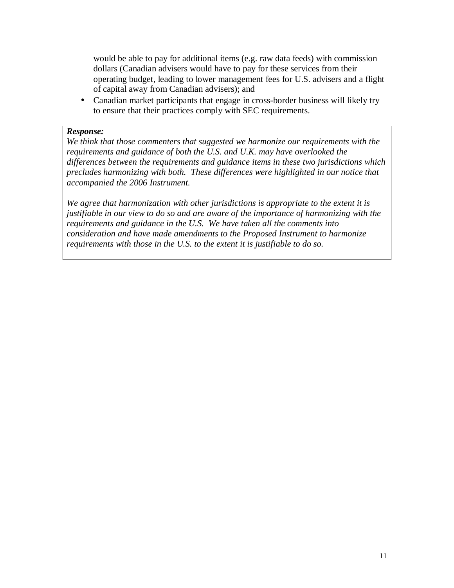would be able to pay for additional items (e.g. raw data feeds) with commission dollars (Canadian advisers would have to pay for these services from their operating budget, leading to lower management fees for U.S. advisers and a flight of capital away from Canadian advisers); and

• Canadian market participants that engage in cross-border business will likely try to ensure that their practices comply with SEC requirements.

#### *Response:*

*We think that those commenters that suggested we harmonize our requirements with the requirements and guidance of both the U.S. and U.K. may have overlooked the differences between the requirements and guidance items in these two jurisdictions which precludes harmonizing with both. These differences were highlighted in our notice that accompanied the 2006 Instrument.*

*We agree that harmonization with other jurisdictions is appropriate to the extent it is justifiable in our view to do so and are aware of the importance of harmonizing with the requirements and guidance in the U.S. We have taken all the comments into consideration and have made amendments to the Proposed Instrument to harmonize requirements with those in the U.S. to the extent it is justifiable to do so.*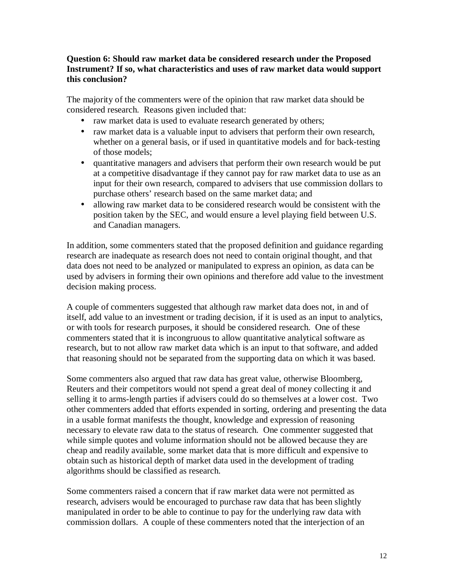# **Question 6: Should raw market data be considered research under the Proposed Instrument? If so, what characteristics and uses of raw market data would support this conclusion?**

The majority of the commenters were of the opinion that raw market data should be considered research. Reasons given included that:

- raw market data is used to evaluate research generated by others;
- raw market data is a valuable input to advisers that perform their own research, whether on a general basis, or if used in quantitative models and for back-testing of those models;
- quantitative managers and advisers that perform their own research would be put at a competitive disadvantage if they cannot pay for raw market data to use as an input for their own research, compared to advisers that use commission dollars to purchase others' research based on the same market data; and
- allowing raw market data to be considered research would be consistent with the position taken by the SEC, and would ensure a level playing field between U.S. and Canadian managers.

In addition, some commenters stated that the proposed definition and guidance regarding research are inadequate as research does not need to contain original thought, and that data does not need to be analyzed or manipulated to express an opinion, as data can be used by advisers in forming their own opinions and therefore add value to the investment decision making process.

A couple of commenters suggested that although raw market data does not, in and of itself, add value to an investment or trading decision, if it is used as an input to analytics, or with tools for research purposes, it should be considered research. One of these commenters stated that it is incongruous to allow quantitative analytical software as research, but to not allow raw market data which is an input to that software, and added that reasoning should not be separated from the supporting data on which it was based.

Some commenters also argued that raw data has great value, otherwise Bloomberg, Reuters and their competitors would not spend a great deal of money collecting it and selling it to arms-length parties if advisers could do so themselves at a lower cost. Two other commenters added that efforts expended in sorting, ordering and presenting the data in a usable format manifests the thought, knowledge and expression of reasoning necessary to elevate raw data to the status of research. One commenter suggested that while simple quotes and volume information should not be allowed because they are cheap and readily available, some market data that is more difficult and expensive to obtain such as historical depth of market data used in the development of trading algorithms should be classified as research.

Some commenters raised a concern that if raw market data were not permitted as research, advisers would be encouraged to purchase raw data that has been slightly manipulated in order to be able to continue to pay for the underlying raw data with commission dollars. A couple of these commenters noted that the interjection of an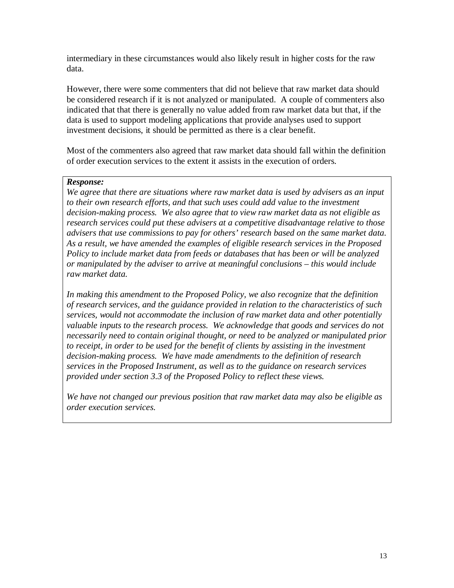intermediary in these circumstances would also likely result in higher costs for the raw data.

However, there were some commenters that did not believe that raw market data should be considered research if it is not analyzed or manipulated. A couple of commenters also indicated that that there is generally no value added from raw market data but that, if the data is used to support modeling applications that provide analyses used to support investment decisions, it should be permitted as there is a clear benefit.

Most of the commenters also agreed that raw market data should fall within the definition of order execution services to the extent it assists in the execution of orders.

#### *Response:*

*We agree that there are situations where raw market data is used by advisers as an input to their own research efforts, and that such uses could add value to the investment decision-making process. We also agree that to view raw market data as not eligible as research services could put these advisers at a competitive disadvantage relative to those advisers that use commissions to pay for others' research based on the same market data. As a result, we have amended the examples of eligible research services in the Proposed Policy to include market data from feeds or databases that has been or will be analyzed or manipulated by the adviser to arrive at meaningful conclusions – this would include raw market data.* 

*In making this amendment to the Proposed Policy, we also recognize that the definition of research services, and the guidance provided in relation to the characteristics of such services, would not accommodate the inclusion of raw market data and other potentially valuable inputs to the research process. We acknowledge that goods and services do not necessarily need to contain original thought, or need to be analyzed or manipulated prior to receipt, in order to be used for the benefit of clients by assisting in the investment decision-making process. We have made amendments to the definition of research services in the Proposed Instrument, as well as to the guidance on research services provided under section 3.3 of the Proposed Policy to reflect these views.* 

*We have not changed our previous position that raw market data may also be eligible as order execution services.*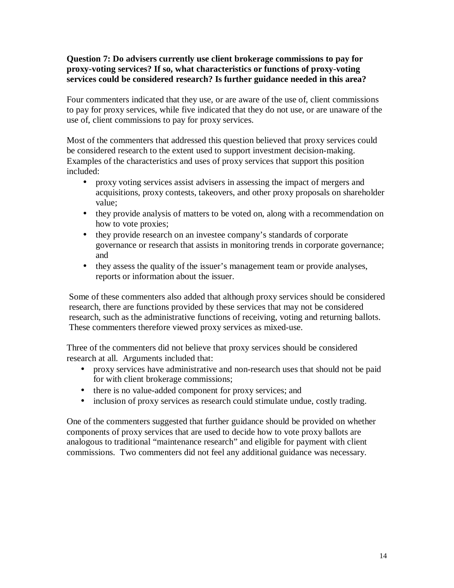# **Question 7: Do advisers currently use client brokerage commissions to pay for proxy-voting services? If so, what characteristics or functions of proxy-voting services could be considered research? Is further guidance needed in this area?**

Four commenters indicated that they use, or are aware of the use of, client commissions to pay for proxy services, while five indicated that they do not use, or are unaware of the use of, client commissions to pay for proxy services.

Most of the commenters that addressed this question believed that proxy services could be considered research to the extent used to support investment decision-making. Examples of the characteristics and uses of proxy services that support this position included:

- proxy voting services assist advisers in assessing the impact of mergers and acquisitions, proxy contests, takeovers, and other proxy proposals on shareholder value;
- they provide analysis of matters to be voted on, along with a recommendation on how to vote proxies;
- they provide research on an investee company's standards of corporate governance or research that assists in monitoring trends in corporate governance; and
- they assess the quality of the issuer's management team or provide analyses, reports or information about the issuer.

Some of these commenters also added that although proxy services should be considered research, there are functions provided by these services that may not be considered research, such as the administrative functions of receiving, voting and returning ballots. These commenters therefore viewed proxy services as mixed-use.

Three of the commenters did not believe that proxy services should be considered research at all. Arguments included that:

- proxy services have administrative and non-research uses that should not be paid for with client brokerage commissions;
- there is no value-added component for proxy services; and
- inclusion of proxy services as research could stimulate undue, costly trading.

One of the commenters suggested that further guidance should be provided on whether components of proxy services that are used to decide how to vote proxy ballots are analogous to traditional "maintenance research" and eligible for payment with client commissions. Two commenters did not feel any additional guidance was necessary.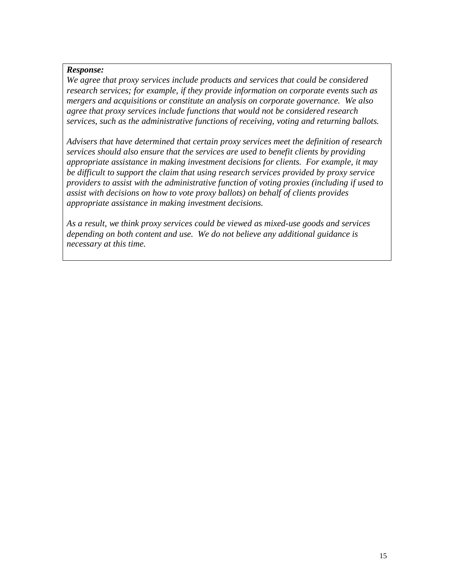*We agree that proxy services include products and services that could be considered research services; for example, if they provide information on corporate events such as mergers and acquisitions or constitute an analysis on corporate governance. We also agree that proxy services include functions that would not be considered research services, such as the administrative functions of receiving, voting and returning ballots.* 

*Advisers that have determined that certain proxy services meet the definition of research services should also ensure that the services are used to benefit clients by providing appropriate assistance in making investment decisions for clients. For example, it may be difficult to support the claim that using research services provided by proxy service providers to assist with the administrative function of voting proxies (including if used to assist with decisions on how to vote proxy ballots) on behalf of clients provides appropriate assistance in making investment decisions.* 

*As a result, we think proxy services could be viewed as mixed-use goods and services depending on both content and use. We do not believe any additional guidance is necessary at this time.*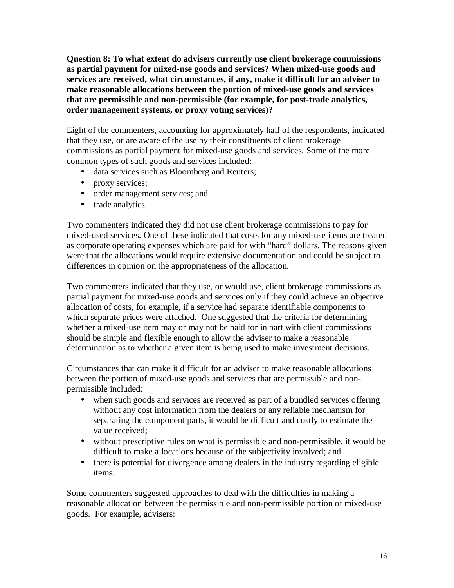**Question 8: To what extent do advisers currently use client brokerage commissions as partial payment for mixed-use goods and services? When mixed-use goods and services are received, what circumstances, if any, make it difficult for an adviser to make reasonable allocations between the portion of mixed-use goods and services that are permissible and non-permissible (for example, for post-trade analytics, order management systems, or proxy voting services)?** 

Eight of the commenters, accounting for approximately half of the respondents, indicated that they use, or are aware of the use by their constituents of client brokerage commissions as partial payment for mixed-use goods and services. Some of the more common types of such goods and services included:

- data services such as Bloomberg and Reuters;
- proxy services;
- order management services; and
- trade analytics.

Two commenters indicated they did not use client brokerage commissions to pay for mixed-used services. One of these indicated that costs for any mixed-use items are treated as corporate operating expenses which are paid for with "hard" dollars. The reasons given were that the allocations would require extensive documentation and could be subject to differences in opinion on the appropriateness of the allocation.

Two commenters indicated that they use, or would use, client brokerage commissions as partial payment for mixed-use goods and services only if they could achieve an objective allocation of costs, for example, if a service had separate identifiable components to which separate prices were attached. One suggested that the criteria for determining whether a mixed-use item may or may not be paid for in part with client commissions should be simple and flexible enough to allow the adviser to make a reasonable determination as to whether a given item is being used to make investment decisions.

Circumstances that can make it difficult for an adviser to make reasonable allocations between the portion of mixed-use goods and services that are permissible and nonpermissible included:

- when such goods and services are received as part of a bundled services offering without any cost information from the dealers or any reliable mechanism for separating the component parts, it would be difficult and costly to estimate the value received;
- without prescriptive rules on what is permissible and non-permissible, it would be difficult to make allocations because of the subjectivity involved; and
- there is potential for divergence among dealers in the industry regarding eligible items.

Some commenters suggested approaches to deal with the difficulties in making a reasonable allocation between the permissible and non-permissible portion of mixed-use goods. For example, advisers: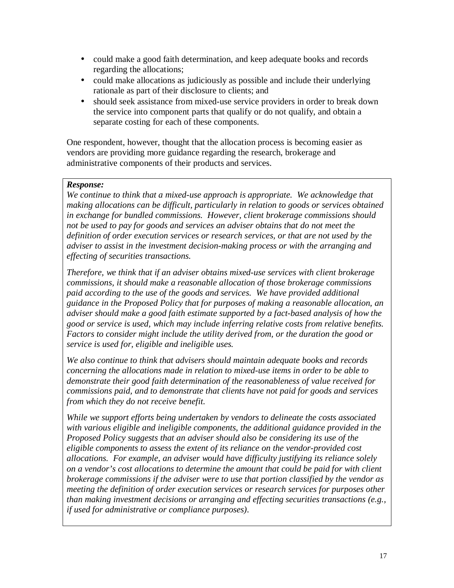- could make a good faith determination, and keep adequate books and records regarding the allocations;
- could make allocations as judiciously as possible and include their underlying rationale as part of their disclosure to clients; and
- should seek assistance from mixed-use service providers in order to break down the service into component parts that qualify or do not qualify, and obtain a separate costing for each of these components.

One respondent, however, thought that the allocation process is becoming easier as vendors are providing more guidance regarding the research, brokerage and administrative components of their products and services.

#### *Response:*

*We continue to think that a mixed-use approach is appropriate. We acknowledge that making allocations can be difficult, particularly in relation to goods or services obtained in exchange for bundled commissions. However, client brokerage commissions should not be used to pay for goods and services an adviser obtains that do not meet the definition of order execution services or research services, or that are not used by the adviser to assist in the investment decision-making process or with the arranging and effecting of securities transactions.* 

*Therefore, we think that if an adviser obtains mixed-use services with client brokerage commissions, it should make a reasonable allocation of those brokerage commissions paid according to the use of the goods and services. We have provided additional guidance in the Proposed Policy that for purposes of making a reasonable allocation, an adviser should make a good faith estimate supported by a fact-based analysis of how the good or service is used, which may include inferring relative costs from relative benefits. Factors to consider might include the utility derived from, or the duration the good or service is used for, eligible and ineligible uses.* 

*We also continue to think that advisers should maintain adequate books and records concerning the allocations made in relation to mixed-use items in order to be able to demonstrate their good faith determination of the reasonableness of value received for commissions paid, and to demonstrate that clients have not paid for goods and services from which they do not receive benefit.* 

*While we support efforts being undertaken by vendors to delineate the costs associated with various eligible and ineligible components, the additional guidance provided in the Proposed Policy suggests that an adviser should also be considering its use of the eligible components to assess the extent of its reliance on the vendor-provided cost allocations. For example, an adviser would have difficulty justifying its reliance solely on a vendor's cost allocations to determine the amount that could be paid for with client brokerage commissions if the adviser were to use that portion classified by the vendor as meeting the definition of order execution services or research services for purposes other than making investment decisions or arranging and effecting securities transactions (e.g., if used for administrative or compliance purposes).*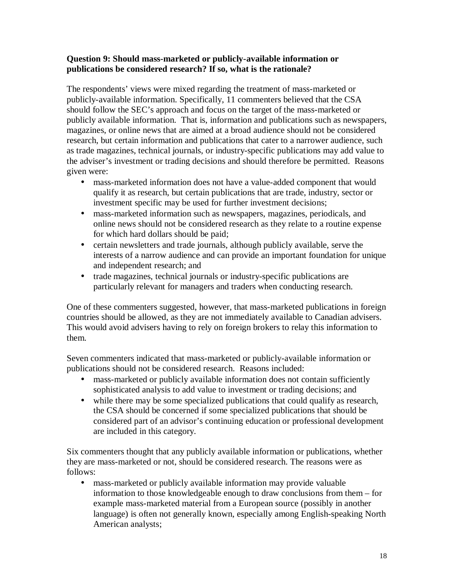# **Question 9: Should mass-marketed or publicly-available information or publications be considered research? If so, what is the rationale?**

The respondents' views were mixed regarding the treatment of mass-marketed or publicly-available information. Specifically, 11 commenters believed that the CSA should follow the SEC's approach and focus on the target of the mass-marketed or publicly available information. That is, information and publications such as newspapers, magazines, or online news that are aimed at a broad audience should not be considered research, but certain information and publications that cater to a narrower audience, such as trade magazines, technical journals, or industry-specific publications may add value to the adviser's investment or trading decisions and should therefore be permitted. Reasons given were:

- mass-marketed information does not have a value-added component that would qualify it as research, but certain publications that are trade, industry, sector or investment specific may be used for further investment decisions;
- mass-marketed information such as newspapers, magazines, periodicals, and online news should not be considered research as they relate to a routine expense for which hard dollars should be paid;
- certain newsletters and trade journals, although publicly available, serve the interests of a narrow audience and can provide an important foundation for unique and independent research; and
- trade magazines, technical journals or industry-specific publications are particularly relevant for managers and traders when conducting research.

One of these commenters suggested, however, that mass-marketed publications in foreign countries should be allowed, as they are not immediately available to Canadian advisers. This would avoid advisers having to rely on foreign brokers to relay this information to them.

Seven commenters indicated that mass-marketed or publicly-available information or publications should not be considered research. Reasons included:

- mass-marketed or publicly available information does not contain sufficiently sophisticated analysis to add value to investment or trading decisions; and
- while there may be some specialized publications that could qualify as research, the CSA should be concerned if some specialized publications that should be considered part of an advisor's continuing education or professional development are included in this category.

Six commenters thought that any publicly available information or publications, whether they are mass-marketed or not, should be considered research. The reasons were as follows:

• mass-marketed or publicly available information may provide valuable information to those knowledgeable enough to draw conclusions from them – for example mass-marketed material from a European source (possibly in another language) is often not generally known, especially among English-speaking North American analysts;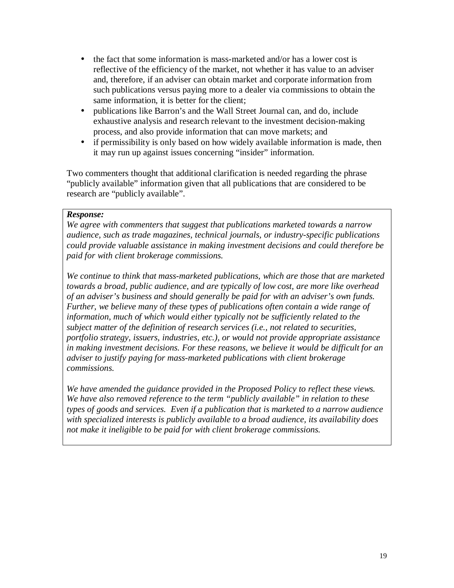- the fact that some information is mass-marketed and/or has a lower cost is reflective of the efficiency of the market, not whether it has value to an adviser and, therefore, if an adviser can obtain market and corporate information from such publications versus paying more to a dealer via commissions to obtain the same information, it is better for the client;
- publications like Barron's and the Wall Street Journal can, and do, include exhaustive analysis and research relevant to the investment decision-making process, and also provide information that can move markets; and
- if permissibility is only based on how widely available information is made, then it may run up against issues concerning "insider" information.

Two commenters thought that additional clarification is needed regarding the phrase "publicly available" information given that all publications that are considered to be research are "publicly available".

#### *Response:*

*We agree with commenters that suggest that publications marketed towards a narrow audience, such as trade magazines, technical journals, or industry-specific publications could provide valuable assistance in making investment decisions and could therefore be paid for with client brokerage commissions.* 

*We continue to think that mass-marketed publications, which are those that are marketed towards a broad, public audience, and are typically of low cost, are more like overhead of an adviser's business and should generally be paid for with an adviser's own funds. Further, we believe many of these types of publications often contain a wide range of information, much of which would either typically not be sufficiently related to the subject matter of the definition of research services (i.e., not related to securities, portfolio strategy, issuers, industries, etc.), or would not provide appropriate assistance in making investment decisions. For these reasons, we believe it would be difficult for an adviser to justify paying for mass-marketed publications with client brokerage commissions.* 

*We have amended the guidance provided in the Proposed Policy to reflect these views. We have also removed reference to the term "publicly available" in relation to these types of goods and services. Even if a publication that is marketed to a narrow audience with specialized interests is publicly available to a broad audience, its availability does not make it ineligible to be paid for with client brokerage commissions.*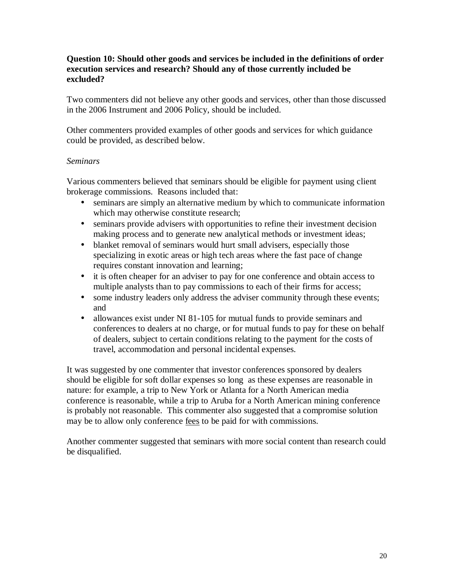### **Question 10: Should other goods and services be included in the definitions of order execution services and research? Should any of those currently included be excluded?**

Two commenters did not believe any other goods and services, other than those discussed in the 2006 Instrument and 2006 Policy, should be included.

Other commenters provided examples of other goods and services for which guidance could be provided, as described below.

# *Seminars*

Various commenters believed that seminars should be eligible for payment using client brokerage commissions. Reasons included that:

- seminars are simply an alternative medium by which to communicate information which may otherwise constitute research;
- seminars provide advisers with opportunities to refine their investment decision making process and to generate new analytical methods or investment ideas;
- blanket removal of seminars would hurt small advisers, especially those specializing in exotic areas or high tech areas where the fast pace of change requires constant innovation and learning;
- it is often cheaper for an adviser to pay for one conference and obtain access to multiple analysts than to pay commissions to each of their firms for access;
- some industry leaders only address the adviser community through these events; and
- allowances exist under NI 81-105 for mutual funds to provide seminars and conferences to dealers at no charge, or for mutual funds to pay for these on behalf of dealers, subject to certain conditions relating to the payment for the costs of travel, accommodation and personal incidental expenses.

It was suggested by one commenter that investor conferences sponsored by dealers should be eligible for soft dollar expenses so long as these expenses are reasonable in nature: for example, a trip to New York or Atlanta for a North American media conference is reasonable, while a trip to Aruba for a North American mining conference is probably not reasonable. This commenter also suggested that a compromise solution may be to allow only conference fees to be paid for with commissions.

Another commenter suggested that seminars with more social content than research could be disqualified.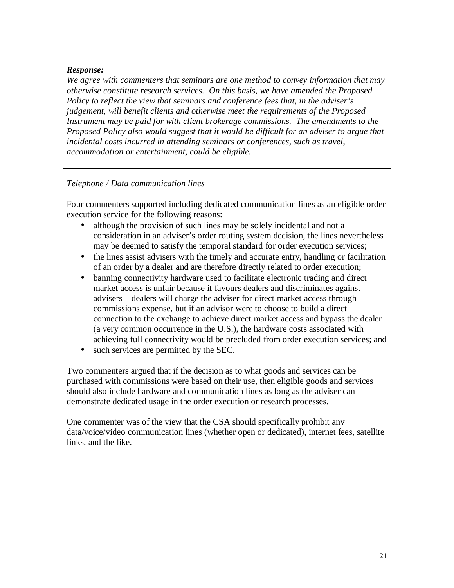*We agree with commenters that seminars are one method to convey information that may otherwise constitute research services. On this basis, we have amended the Proposed Policy to reflect the view that seminars and conference fees that, in the adviser's judgement, will benefit clients and otherwise meet the requirements of the Proposed Instrument may be paid for with client brokerage commissions. The amendments to the Proposed Policy also would suggest that it would be difficult for an adviser to argue that incidental costs incurred in attending seminars or conferences, such as travel, accommodation or entertainment, could be eligible.* 

# *Telephone / Data communication lines*

Four commenters supported including dedicated communication lines as an eligible order execution service for the following reasons:

- although the provision of such lines may be solely incidental and not a consideration in an adviser's order routing system decision, the lines nevertheless may be deemed to satisfy the temporal standard for order execution services;
- the lines assist advisers with the timely and accurate entry, handling or facilitation of an order by a dealer and are therefore directly related to order execution;
- banning connectivity hardware used to facilitate electronic trading and direct market access is unfair because it favours dealers and discriminates against advisers – dealers will charge the adviser for direct market access through commissions expense, but if an advisor were to choose to build a direct connection to the exchange to achieve direct market access and bypass the dealer (a very common occurrence in the U.S.), the hardware costs associated with achieving full connectivity would be precluded from order execution services; and
- such services are permitted by the SEC.

Two commenters argued that if the decision as to what goods and services can be purchased with commissions were based on their use, then eligible goods and services should also include hardware and communication lines as long as the adviser can demonstrate dedicated usage in the order execution or research processes.

One commenter was of the view that the CSA should specifically prohibit any data/voice/video communication lines (whether open or dedicated), internet fees, satellite links, and the like.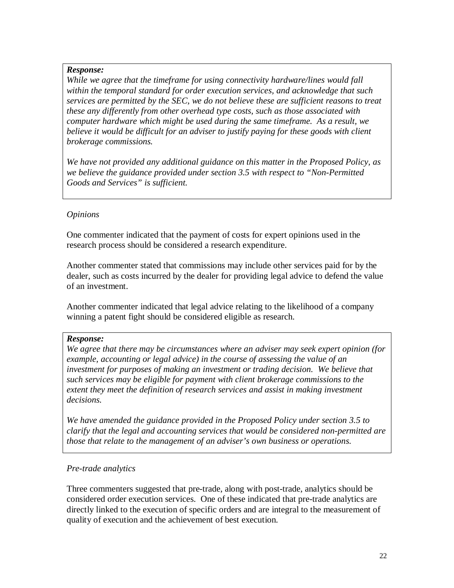*While we agree that the timeframe for using connectivity hardware/lines would fall within the temporal standard for order execution services, and acknowledge that such services are permitted by the SEC, we do not believe these are sufficient reasons to treat these any differently from other overhead type costs, such as those associated with computer hardware which might be used during the same timeframe. As a result, we believe it would be difficult for an adviser to justify paying for these goods with client brokerage commissions.* 

*We have not provided any additional guidance on this matter in the Proposed Policy, as we believe the guidance provided under section 3.5 with respect to "Non-Permitted Goods and Services" is sufficient.* 

# *Opinions*

One commenter indicated that the payment of costs for expert opinions used in the research process should be considered a research expenditure.

Another commenter stated that commissions may include other services paid for by the dealer, such as costs incurred by the dealer for providing legal advice to defend the value of an investment.

Another commenter indicated that legal advice relating to the likelihood of a company winning a patent fight should be considered eligible as research.

# *Response:*

*We agree that there may be circumstances where an adviser may seek expert opinion (for example, accounting or legal advice) in the course of assessing the value of an investment for purposes of making an investment or trading decision. We believe that such services may be eligible for payment with client brokerage commissions to the extent they meet the definition of research services and assist in making investment decisions.* 

*We have amended the guidance provided in the Proposed Policy under section 3.5 to clarify that the legal and accounting services that would be considered non-permitted are those that relate to the management of an adviser's own business or operations.* 

# *Pre-trade analytics*

Three commenters suggested that pre-trade, along with post-trade, analytics should be considered order execution services. One of these indicated that pre-trade analytics are directly linked to the execution of specific orders and are integral to the measurement of quality of execution and the achievement of best execution.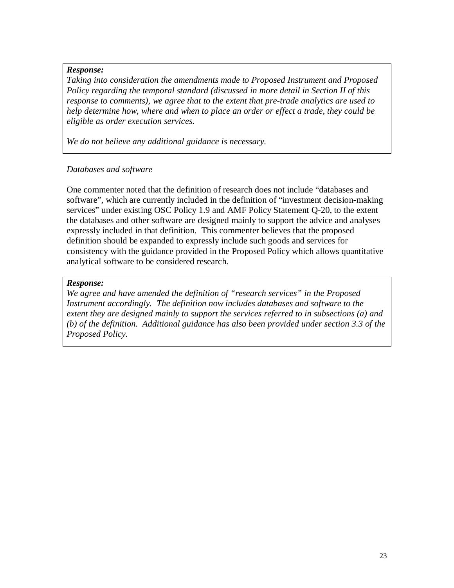*Taking into consideration the amendments made to Proposed Instrument and Proposed Policy regarding the temporal standard (discussed in more detail in Section II of this response to comments), we agree that to the extent that pre-trade analytics are used to help determine how, where and when to place an order or effect a trade, they could be eligible as order execution services.*

*We do not believe any additional guidance is necessary.* 

#### *Databases and software*

One commenter noted that the definition of research does not include "databases and software", which are currently included in the definition of "investment decision-making services" under existing OSC Policy 1.9 and AMF Policy Statement Q-20, to the extent the databases and other software are designed mainly to support the advice and analyses expressly included in that definition. This commenter believes that the proposed definition should be expanded to expressly include such goods and services for consistency with the guidance provided in the Proposed Policy which allows quantitative analytical software to be considered research.

#### *Response:*

*We agree and have amended the definition of "research services" in the Proposed Instrument accordingly. The definition now includes databases and software to the extent they are designed mainly to support the services referred to in subsections (a) and (b) of the definition. Additional guidance has also been provided under section 3.3 of the Proposed Policy.*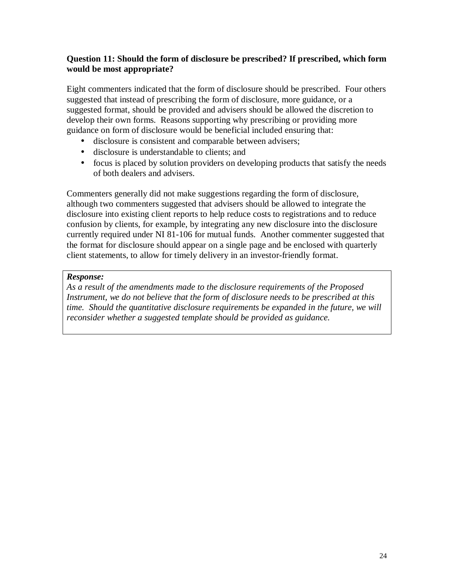# **Question 11: Should the form of disclosure be prescribed? If prescribed, which form would be most appropriate?**

Eight commenters indicated that the form of disclosure should be prescribed. Four others suggested that instead of prescribing the form of disclosure, more guidance, or a suggested format, should be provided and advisers should be allowed the discretion to develop their own forms. Reasons supporting why prescribing or providing more guidance on form of disclosure would be beneficial included ensuring that:

- disclosure is consistent and comparable between advisers;
- disclosure is understandable to clients; and
- focus is placed by solution providers on developing products that satisfy the needs of both dealers and advisers.

Commenters generally did not make suggestions regarding the form of disclosure, although two commenters suggested that advisers should be allowed to integrate the disclosure into existing client reports to help reduce costs to registrations and to reduce confusion by clients, for example, by integrating any new disclosure into the disclosure currently required under NI 81-106 for mutual funds. Another commenter suggested that the format for disclosure should appear on a single page and be enclosed with quarterly client statements, to allow for timely delivery in an investor-friendly format.

#### *Response:*

*As a result of the amendments made to the disclosure requirements of the Proposed Instrument, we do not believe that the form of disclosure needs to be prescribed at this time. Should the quantitative disclosure requirements be expanded in the future, we will reconsider whether a suggested template should be provided as guidance.*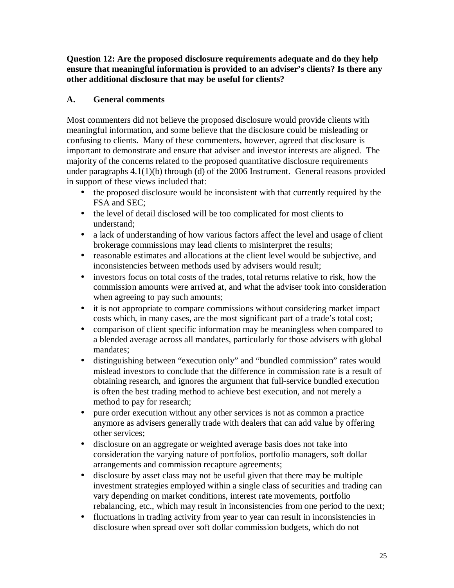**Question 12: Are the proposed disclosure requirements adequate and do they help ensure that meaningful information is provided to an adviser's clients? Is there any other additional disclosure that may be useful for clients?** 

# **A. General comments**

Most commenters did not believe the proposed disclosure would provide clients with meaningful information, and some believe that the disclosure could be misleading or confusing to clients. Many of these commenters, however, agreed that disclosure is important to demonstrate and ensure that adviser and investor interests are aligned. The majority of the concerns related to the proposed quantitative disclosure requirements under paragraphs 4.1(1)(b) through (d) of the 2006 Instrument. General reasons provided in support of these views included that:

- the proposed disclosure would be inconsistent with that currently required by the FSA and SEC;
- the level of detail disclosed will be too complicated for most clients to understand;
- a lack of understanding of how various factors affect the level and usage of client brokerage commissions may lead clients to misinterpret the results;
- reasonable estimates and allocations at the client level would be subjective, and inconsistencies between methods used by advisers would result;
- investors focus on total costs of the trades, total returns relative to risk, how the commission amounts were arrived at, and what the adviser took into consideration when agreeing to pay such amounts;
- it is not appropriate to compare commissions without considering market impact costs which, in many cases, are the most significant part of a trade's total cost;
- comparison of client specific information may be meaningless when compared to a blended average across all mandates, particularly for those advisers with global mandates;
- distinguishing between "execution only" and "bundled commission" rates would mislead investors to conclude that the difference in commission rate is a result of obtaining research, and ignores the argument that full-service bundled execution is often the best trading method to achieve best execution, and not merely a method to pay for research;
- pure order execution without any other services is not as common a practice anymore as advisers generally trade with dealers that can add value by offering other services;
- disclosure on an aggregate or weighted average basis does not take into consideration the varying nature of portfolios, portfolio managers, soft dollar arrangements and commission recapture agreements;
- disclosure by asset class may not be useful given that there may be multiple investment strategies employed within a single class of securities and trading can vary depending on market conditions, interest rate movements, portfolio rebalancing, etc., which may result in inconsistencies from one period to the next;
- fluctuations in trading activity from year to year can result in inconsistencies in disclosure when spread over soft dollar commission budgets, which do not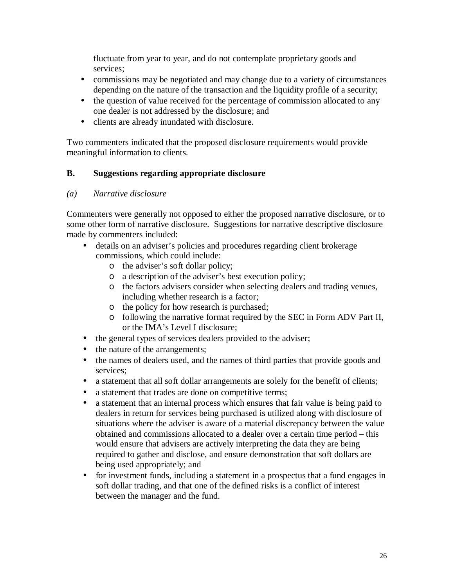fluctuate from year to year, and do not contemplate proprietary goods and services;

- commissions may be negotiated and may change due to a variety of circumstances depending on the nature of the transaction and the liquidity profile of a security;
- the question of value received for the percentage of commission allocated to any one dealer is not addressed by the disclosure; and
- clients are already inundated with disclosure.

Two commenters indicated that the proposed disclosure requirements would provide meaningful information to clients.

# **B. Suggestions regarding appropriate disclosure**

# *(a) Narrative disclosure*

Commenters were generally not opposed to either the proposed narrative disclosure, or to some other form of narrative disclosure. Suggestions for narrative descriptive disclosure made by commenters included:

- details on an adviser's policies and procedures regarding client brokerage commissions, which could include:
	- o the adviser's soft dollar policy;
	- o a description of the adviser's best execution policy;
	- o the factors advisers consider when selecting dealers and trading venues, including whether research is a factor;
	- o the policy for how research is purchased;
	- o following the narrative format required by the SEC in Form ADV Part II, or the IMA's Level I disclosure;
- the general types of services dealers provided to the adviser;
- the nature of the arrangements;
- the names of dealers used, and the names of third parties that provide goods and services;
- a statement that all soft dollar arrangements are solely for the benefit of clients;
- a statement that trades are done on competitive terms;
- a statement that an internal process which ensures that fair value is being paid to dealers in return for services being purchased is utilized along with disclosure of situations where the adviser is aware of a material discrepancy between the value obtained and commissions allocated to a dealer over a certain time period – this would ensure that advisers are actively interpreting the data they are being required to gather and disclose, and ensure demonstration that soft dollars are being used appropriately; and
- for investment funds, including a statement in a prospectus that a fund engages in soft dollar trading, and that one of the defined risks is a conflict of interest between the manager and the fund.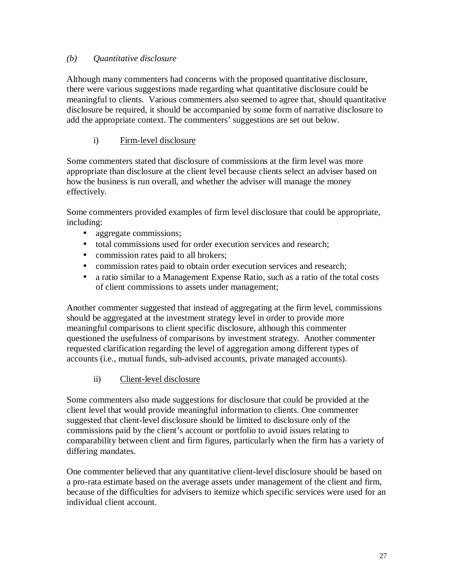# *(b) Quantitative disclosure*

Although many commenters had concerns with the proposed quantitative disclosure, there were various suggestions made regarding what quantitative disclosure could be meaningful to clients. Various commenters also seemed to agree that, should quantitative disclosure be required, it should be accompanied by some form of narrative disclosure to add the appropriate context. The commenters' suggestions are set out below.

# i) Firm-level disclosure

Some commenters stated that disclosure of commissions at the firm level was more appropriate than disclosure at the client level because clients select an adviser based on how the business is run overall, and whether the adviser will manage the money effectively.

Some commenters provided examples of firm level disclosure that could be appropriate, including:

- aggregate commissions;
- total commissions used for order execution services and research;
- commission rates paid to all brokers;
- commission rates paid to obtain order execution services and research;
- a ratio similar to a Management Expense Ratio, such as a ratio of the total costs of client commissions to assets under management;

Another commenter suggested that instead of aggregating at the firm level, commissions should be aggregated at the investment strategy level in order to provide more meaningful comparisons to client specific disclosure, although this commenter questioned the usefulness of comparisons by investment strategy. Another commenter requested clarification regarding the level of aggregation among different types of accounts (i.e., mutual funds, sub-advised accounts, private managed accounts).

# ii) Client-level disclosure

Some commenters also made suggestions for disclosure that could be provided at the client level that would provide meaningful information to clients. One commenter suggested that client-level disclosure should be limited to disclosure only of the commissions paid by the client's account or portfolio to avoid issues relating to comparability between client and firm figures, particularly when the firm has a variety of differing mandates.

One commenter believed that any quantitative client-level disclosure should be based on a pro-rata estimate based on the average assets under management of the client and firm, because of the difficulties for advisers to itemize which specific services were used for an individual client account.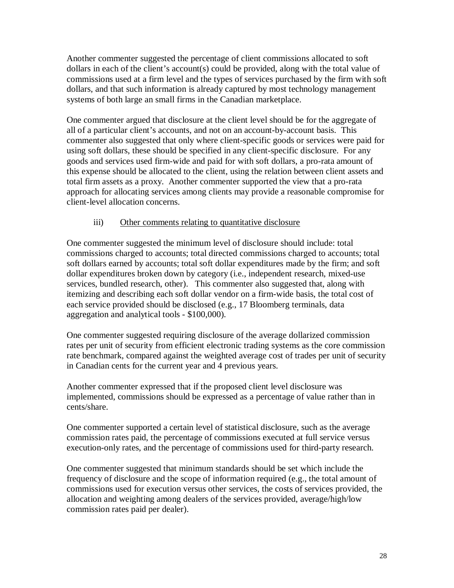Another commenter suggested the percentage of client commissions allocated to soft dollars in each of the client's account(s) could be provided, along with the total value of commissions used at a firm level and the types of services purchased by the firm with soft dollars, and that such information is already captured by most technology management systems of both large an small firms in the Canadian marketplace.

One commenter argued that disclosure at the client level should be for the aggregate of all of a particular client's accounts, and not on an account-by-account basis. This commenter also suggested that only where client-specific goods or services were paid for using soft dollars, these should be specified in any client-specific disclosure. For any goods and services used firm-wide and paid for with soft dollars, a pro-rata amount of this expense should be allocated to the client, using the relation between client assets and total firm assets as a proxy. Another commenter supported the view that a pro-rata approach for allocating services among clients may provide a reasonable compromise for client-level allocation concerns.

# iii) Other comments relating to quantitative disclosure

One commenter suggested the minimum level of disclosure should include: total commissions charged to accounts; total directed commissions charged to accounts; total soft dollars earned by accounts; total soft dollar expenditures made by the firm; and soft dollar expenditures broken down by category (i.e., independent research, mixed-use services, bundled research, other). This commenter also suggested that, along with itemizing and describing each soft dollar vendor on a firm-wide basis, the total cost of each service provided should be disclosed (e.g., 17 Bloomberg terminals, data aggregation and analytical tools - \$100,000).

One commenter suggested requiring disclosure of the average dollarized commission rates per unit of security from efficient electronic trading systems as the core commission rate benchmark, compared against the weighted average cost of trades per unit of security in Canadian cents for the current year and 4 previous years.

Another commenter expressed that if the proposed client level disclosure was implemented, commissions should be expressed as a percentage of value rather than in cents/share.

One commenter supported a certain level of statistical disclosure, such as the average commission rates paid, the percentage of commissions executed at full service versus execution-only rates, and the percentage of commissions used for third-party research.

One commenter suggested that minimum standards should be set which include the frequency of disclosure and the scope of information required (e.g., the total amount of commissions used for execution versus other services, the costs of services provided, the allocation and weighting among dealers of the services provided, average/high/low commission rates paid per dealer).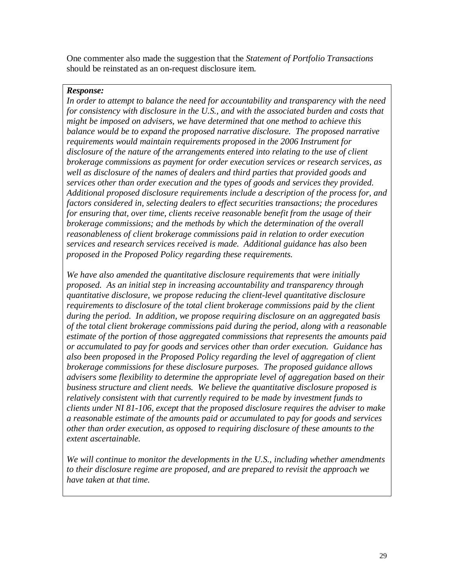One commenter also made the suggestion that the *Statement of Portfolio Transactions* should be reinstated as an on-request disclosure item.

### *Response:*

*In order to attempt to balance the need for accountability and transparency with the need for consistency with disclosure in the U.S., and with the associated burden and costs that might be imposed on advisers, we have determined that one method to achieve this balance would be to expand the proposed narrative disclosure. The proposed narrative requirements would maintain requirements proposed in the 2006 Instrument for disclosure of the nature of the arrangements entered into relating to the use of client brokerage commissions as payment for order execution services or research services, as well as disclosure of the names of dealers and third parties that provided goods and services other than order execution and the types of goods and services they provided. Additional proposed disclosure requirements include a description of the process for, and factors considered in, selecting dealers to effect securities transactions; the procedures for ensuring that, over time, clients receive reasonable benefit from the usage of their brokerage commissions; and the methods by which the determination of the overall reasonableness of client brokerage commissions paid in relation to order execution services and research services received is made. Additional guidance has also been proposed in the Proposed Policy regarding these requirements.* 

*We have also amended the quantitative disclosure requirements that were initially proposed. As an initial step in increasing accountability and transparency through quantitative disclosure, we propose reducing the client-level quantitative disclosure requirements to disclosure of the total client brokerage commissions paid by the client during the period. In addition, we propose requiring disclosure on an aggregated basis of the total client brokerage commissions paid during the period, along with a reasonable estimate of the portion of those aggregated commissions that represents the amounts paid or accumulated to pay for goods and services other than order execution. Guidance has also been proposed in the Proposed Policy regarding the level of aggregation of client brokerage commissions for these disclosure purposes. The proposed guidance allows advisers some flexibility to determine the appropriate level of aggregation based on their business structure and client needs. We believe the quantitative disclosure proposed is relatively consistent with that currently required to be made by investment funds to clients under NI 81-106, except that the proposed disclosure requires the adviser to make a reasonable estimate of the amounts paid or accumulated to pay for goods and services other than order execution, as opposed to requiring disclosure of these amounts to the extent ascertainable.* 

*We will continue to monitor the developments in the U.S., including whether amendments to their disclosure regime are proposed, and are prepared to revisit the approach we have taken at that time.*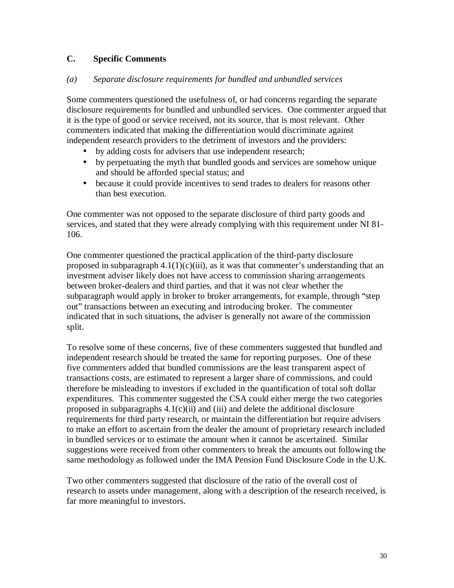# **C. Specific Comments**

### *(a) Separate disclosure requirements for bundled and unbundled services*

Some commenters questioned the usefulness of, or had concerns regarding the separate disclosure requirements for bundled and unbundled services. One commenter argued that it is the type of good or service received, not its source, that is most relevant. Other commenters indicated that making the differentiation would discriminate against independent research providers to the detriment of investors and the providers:

- by adding costs for advisers that use independent research;
- by perpetuating the myth that bundled goods and services are somehow unique and should be afforded special status; and
- because it could provide incentives to send trades to dealers for reasons other than best execution.

One commenter was not opposed to the separate disclosure of third party goods and services, and stated that they were already complying with this requirement under NI 81- 106.

One commenter questioned the practical application of the third-party disclosure proposed in subparagraph  $4.1(1)(c)(iii)$ , as it was that commenter's understanding that an investment adviser likely does not have access to commission sharing arrangements between broker-dealers and third parties, and that it was not clear whether the subparagraph would apply in broker to broker arrangements, for example, through "step out" transactions between an executing and introducing broker. The commenter indicated that in such situations, the adviser is generally not aware of the commission split.

To resolve some of these concerns, five of these commenters suggested that bundled and independent research should be treated the same for reporting purposes. One of these five commenters added that bundled commissions are the least transparent aspect of transactions costs, are estimated to represent a larger share of commissions, and could therefore be misleading to investors if excluded in the quantification of total soft dollar expenditures. This commenter suggested the CSA could either merge the two categories proposed in subparagraphs  $4.1(c)(ii)$  and (iii) and delete the additional disclosure requirements for third party research, or maintain the differentiation but require advisers to make an effort to ascertain from the dealer the amount of proprietary research included in bundled services or to estimate the amount when it cannot be ascertained. Similar suggestions were received from other commenters to break the amounts out following the same methodology as followed under the IMA Pension Fund Disclosure Code in the U.K.

Two other commenters suggested that disclosure of the ratio of the overall cost of research to assets under management, along with a description of the research received, is far more meaningful to investors.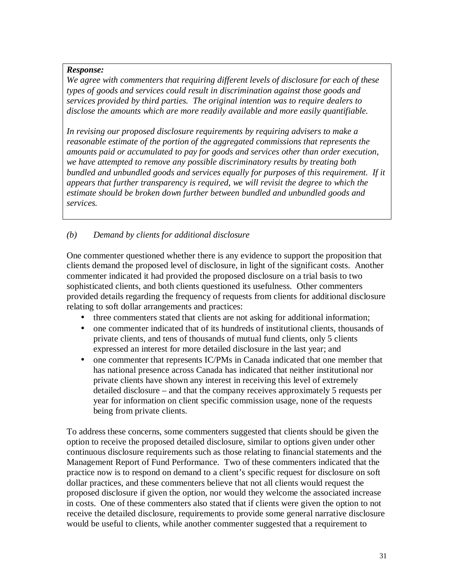*We agree with commenters that requiring different levels of disclosure for each of these types of goods and services could result in discrimination against those goods and services provided by third parties. The original intention was to require dealers to disclose the amounts which are more readily available and more easily quantifiable.* 

*In revising our proposed disclosure requirements by requiring advisers to make a reasonable estimate of the portion of the aggregated commissions that represents the amounts paid or accumulated to pay for goods and services other than order execution, we have attempted to remove any possible discriminatory results by treating both bundled and unbundled goods and services equally for purposes of this requirement. If it appears that further transparency is required, we will revisit the degree to which the estimate should be broken down further between bundled and unbundled goods and services.* 

# *(b) Demand by clients for additional disclosure*

One commenter questioned whether there is any evidence to support the proposition that clients demand the proposed level of disclosure, in light of the significant costs. Another commenter indicated it had provided the proposed disclosure on a trial basis to two sophisticated clients, and both clients questioned its usefulness. Other commenters provided details regarding the frequency of requests from clients for additional disclosure relating to soft dollar arrangements and practices:

- three commenters stated that clients are not asking for additional information;
- one commenter indicated that of its hundreds of institutional clients, thousands of private clients, and tens of thousands of mutual fund clients, only 5 clients expressed an interest for more detailed disclosure in the last year; and
- one commenter that represents IC/PMs in Canada indicated that one member that has national presence across Canada has indicated that neither institutional nor private clients have shown any interest in receiving this level of extremely detailed disclosure – and that the company receives approximately 5 requests per year for information on client specific commission usage, none of the requests being from private clients.

To address these concerns, some commenters suggested that clients should be given the option to receive the proposed detailed disclosure, similar to options given under other continuous disclosure requirements such as those relating to financial statements and the Management Report of Fund Performance. Two of these commenters indicated that the practice now is to respond on demand to a client's specific request for disclosure on soft dollar practices, and these commenters believe that not all clients would request the proposed disclosure if given the option, nor would they welcome the associated increase in costs. One of these commenters also stated that if clients were given the option to not receive the detailed disclosure, requirements to provide some general narrative disclosure would be useful to clients, while another commenter suggested that a requirement to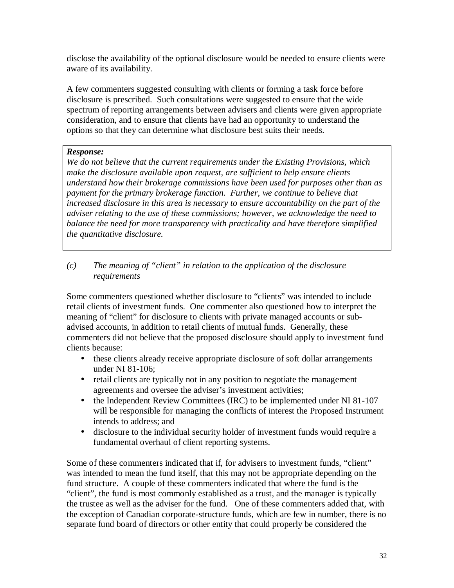disclose the availability of the optional disclosure would be needed to ensure clients were aware of its availability.

A few commenters suggested consulting with clients or forming a task force before disclosure is prescribed. Such consultations were suggested to ensure that the wide spectrum of reporting arrangements between advisers and clients were given appropriate consideration, and to ensure that clients have had an opportunity to understand the options so that they can determine what disclosure best suits their needs.

# *Response:*

*We do not believe that the current requirements under the Existing Provisions, which make the disclosure available upon request, are sufficient to help ensure clients understand how their brokerage commissions have been used for purposes other than as payment for the primary brokerage function. Further, we continue to believe that increased disclosure in this area is necessary to ensure accountability on the part of the adviser relating to the use of these commissions; however, we acknowledge the need to balance the need for more transparency with practicality and have therefore simplified the quantitative disclosure.* 

*(c) The meaning of "client" in relation to the application of the disclosure requirements* 

Some commenters questioned whether disclosure to "clients" was intended to include retail clients of investment funds. One commenter also questioned how to interpret the meaning of "client" for disclosure to clients with private managed accounts or subadvised accounts, in addition to retail clients of mutual funds. Generally, these commenters did not believe that the proposed disclosure should apply to investment fund clients because:

- these clients already receive appropriate disclosure of soft dollar arrangements under NI 81-106;
- retail clients are typically not in any position to negotiate the management agreements and oversee the adviser's investment activities;
- the Independent Review Committees (IRC) to be implemented under NI 81-107 will be responsible for managing the conflicts of interest the Proposed Instrument intends to address; and
- disclosure to the individual security holder of investment funds would require a fundamental overhaul of client reporting systems.

Some of these commenters indicated that if, for advisers to investment funds, "client" was intended to mean the fund itself, that this may not be appropriate depending on the fund structure. A couple of these commenters indicated that where the fund is the "client", the fund is most commonly established as a trust, and the manager is typically the trustee as well as the adviser for the fund. One of these commenters added that, with the exception of Canadian corporate-structure funds, which are few in number, there is no separate fund board of directors or other entity that could properly be considered the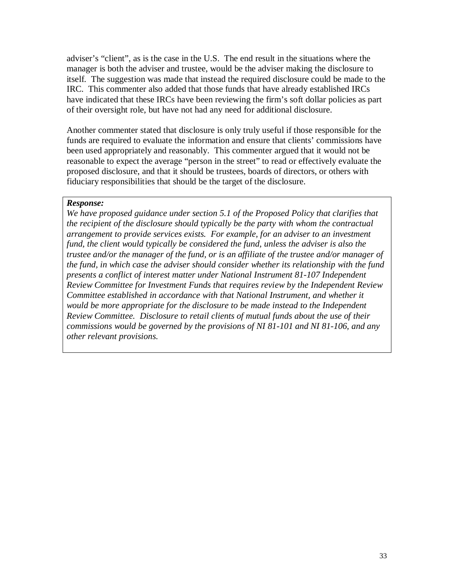adviser's "client", as is the case in the U.S. The end result in the situations where the manager is both the adviser and trustee, would be the adviser making the disclosure to itself. The suggestion was made that instead the required disclosure could be made to the IRC. This commenter also added that those funds that have already established IRCs have indicated that these IRCs have been reviewing the firm's soft dollar policies as part of their oversight role, but have not had any need for additional disclosure.

Another commenter stated that disclosure is only truly useful if those responsible for the funds are required to evaluate the information and ensure that clients' commissions have been used appropriately and reasonably. This commenter argued that it would not be reasonable to expect the average "person in the street" to read or effectively evaluate the proposed disclosure, and that it should be trustees, boards of directors, or others with fiduciary responsibilities that should be the target of the disclosure.

#### *Response:*

*We have proposed guidance under section 5.1 of the Proposed Policy that clarifies that the recipient of the disclosure should typically be the party with whom the contractual arrangement to provide services exists. For example, for an adviser to an investment fund, the client would typically be considered the fund, unless the adviser is also the trustee and/or the manager of the fund, or is an affiliate of the trustee and/or manager of the fund, in which case the adviser should consider whether its relationship with the fund presents a conflict of interest matter under National Instrument 81-107 Independent Review Committee for Investment Funds that requires review by the Independent Review Committee established in accordance with that National Instrument, and whether it would be more appropriate for the disclosure to be made instead to the Independent Review Committee. Disclosure to retail clients of mutual funds about the use of their commissions would be governed by the provisions of NI 81-101 and NI 81-106, and any other relevant provisions.*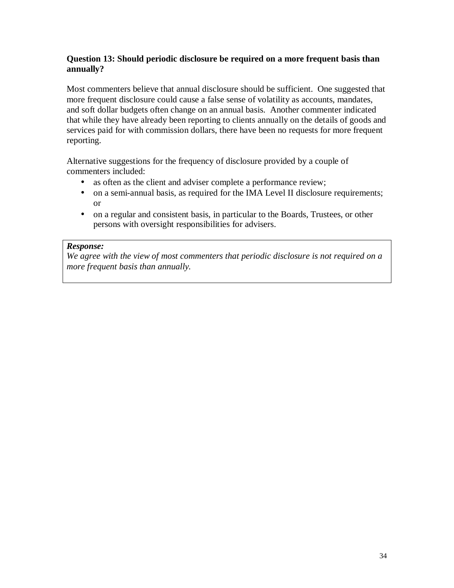# **Question 13: Should periodic disclosure be required on a more frequent basis than annually?**

Most commenters believe that annual disclosure should be sufficient. One suggested that more frequent disclosure could cause a false sense of volatility as accounts, mandates, and soft dollar budgets often change on an annual basis. Another commenter indicated that while they have already been reporting to clients annually on the details of goods and services paid for with commission dollars, there have been no requests for more frequent reporting.

Alternative suggestions for the frequency of disclosure provided by a couple of commenters included:

- as often as the client and adviser complete a performance review;
- on a semi-annual basis, as required for the IMA Level II disclosure requirements; or
- on a regular and consistent basis, in particular to the Boards, Trustees, or other persons with oversight responsibilities for advisers.

#### *Response:*

*We agree with the view of most commenters that periodic disclosure is not required on a more frequent basis than annually.*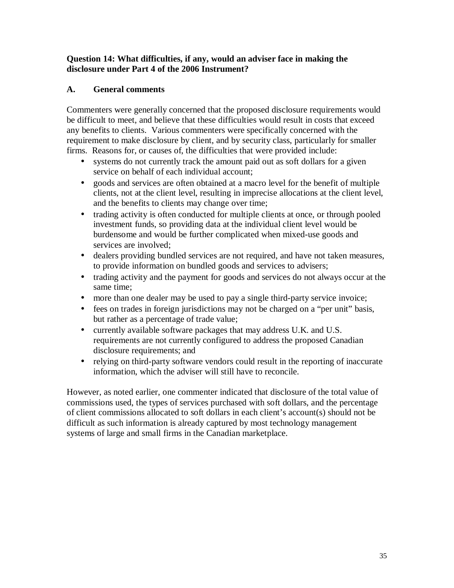# **Question 14: What difficulties, if any, would an adviser face in making the disclosure under Part 4 of the 2006 Instrument?**

# **A. General comments**

Commenters were generally concerned that the proposed disclosure requirements would be difficult to meet, and believe that these difficulties would result in costs that exceed any benefits to clients. Various commenters were specifically concerned with the requirement to make disclosure by client, and by security class, particularly for smaller firms. Reasons for, or causes of, the difficulties that were provided include:

- systems do not currently track the amount paid out as soft dollars for a given service on behalf of each individual account;
- goods and services are often obtained at a macro level for the benefit of multiple clients, not at the client level, resulting in imprecise allocations at the client level, and the benefits to clients may change over time;
- trading activity is often conducted for multiple clients at once, or through pooled investment funds, so providing data at the individual client level would be burdensome and would be further complicated when mixed-use goods and services are involved;
- dealers providing bundled services are not required, and have not taken measures, to provide information on bundled goods and services to advisers;
- trading activity and the payment for goods and services do not always occur at the same time;
- more than one dealer may be used to pay a single third-party service invoice;
- fees on trades in foreign jurisdictions may not be charged on a "per unit" basis, but rather as a percentage of trade value;
- currently available software packages that may address U.K. and U.S. requirements are not currently configured to address the proposed Canadian disclosure requirements; and
- relying on third-party software vendors could result in the reporting of inaccurate information, which the adviser will still have to reconcile.

However, as noted earlier, one commenter indicated that disclosure of the total value of commissions used, the types of services purchased with soft dollars, and the percentage of client commissions allocated to soft dollars in each client's account(s) should not be difficult as such information is already captured by most technology management systems of large and small firms in the Canadian marketplace.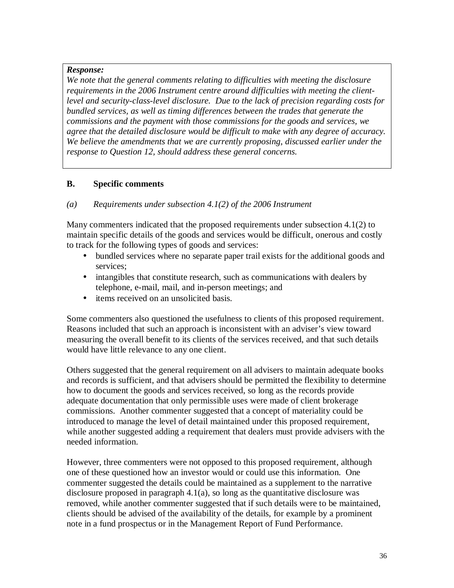*We note that the general comments relating to difficulties with meeting the disclosure requirements in the 2006 Instrument centre around difficulties with meeting the clientlevel and security-class-level disclosure. Due to the lack of precision regarding costs for bundled services, as well as timing differences between the trades that generate the commissions and the payment with those commissions for the goods and services, we agree that the detailed disclosure would be difficult to make with any degree of accuracy. We believe the amendments that we are currently proposing, discussed earlier under the response to Question 12, should address these general concerns.* 

# **B. Specific comments**

### *(a) Requirements under subsection 4.1(2) of the 2006 Instrument*

Many commenters indicated that the proposed requirements under subsection 4.1(2) to maintain specific details of the goods and services would be difficult, onerous and costly to track for the following types of goods and services:

- bundled services where no separate paper trail exists for the additional goods and services;
- intangibles that constitute research, such as communications with dealers by telephone, e-mail, mail, and in-person meetings; and
- items received on an unsolicited basis.

Some commenters also questioned the usefulness to clients of this proposed requirement. Reasons included that such an approach is inconsistent with an adviser's view toward measuring the overall benefit to its clients of the services received, and that such details would have little relevance to any one client.

Others suggested that the general requirement on all advisers to maintain adequate books and records is sufficient, and that advisers should be permitted the flexibility to determine how to document the goods and services received, so long as the records provide adequate documentation that only permissible uses were made of client brokerage commissions. Another commenter suggested that a concept of materiality could be introduced to manage the level of detail maintained under this proposed requirement, while another suggested adding a requirement that dealers must provide advisers with the needed information.

However, three commenters were not opposed to this proposed requirement, although one of these questioned how an investor would or could use this information. One commenter suggested the details could be maintained as a supplement to the narrative disclosure proposed in paragraph  $4.1(a)$ , so long as the quantitative disclosure was removed, while another commenter suggested that if such details were to be maintained, clients should be advised of the availability of the details, for example by a prominent note in a fund prospectus or in the Management Report of Fund Performance.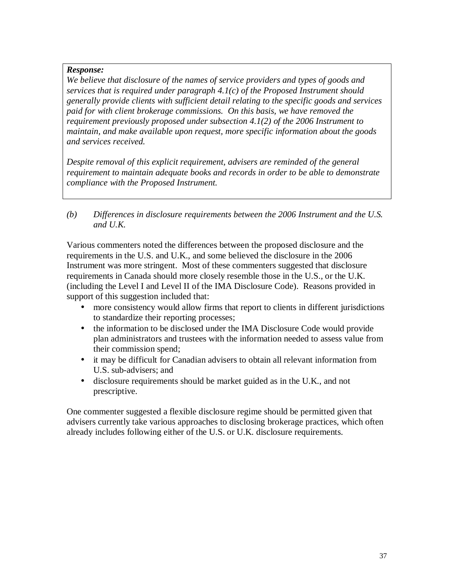*We believe that disclosure of the names of service providers and types of goods and services that is required under paragraph 4.1(c) of the Proposed Instrument should generally provide clients with sufficient detail relating to the specific goods and services paid for with client brokerage commissions. On this basis, we have removed the requirement previously proposed under subsection 4.1(2) of the 2006 Instrument to maintain, and make available upon request, more specific information about the goods and services received.* 

*Despite removal of this explicit requirement, advisers are reminded of the general requirement to maintain adequate books and records in order to be able to demonstrate compliance with the Proposed Instrument.* 

*(b) Differences in disclosure requirements between the 2006 Instrument and the U.S. and U.K.* 

Various commenters noted the differences between the proposed disclosure and the requirements in the U.S. and U.K., and some believed the disclosure in the 2006 Instrument was more stringent. Most of these commenters suggested that disclosure requirements in Canada should more closely resemble those in the U.S., or the U.K. (including the Level I and Level II of the IMA Disclosure Code). Reasons provided in support of this suggestion included that:

- more consistency would allow firms that report to clients in different jurisdictions to standardize their reporting processes;
- the information to be disclosed under the IMA Disclosure Code would provide plan administrators and trustees with the information needed to assess value from their commission spend;
- it may be difficult for Canadian advisers to obtain all relevant information from U.S. sub-advisers; and
- disclosure requirements should be market guided as in the U.K., and not prescriptive.

One commenter suggested a flexible disclosure regime should be permitted given that advisers currently take various approaches to disclosing brokerage practices, which often already includes following either of the U.S. or U.K. disclosure requirements.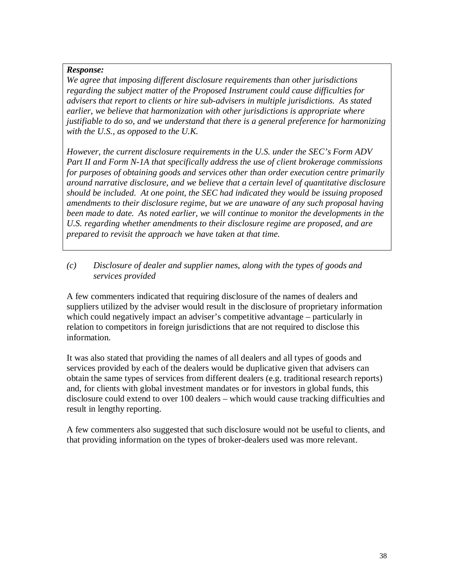*We agree that imposing different disclosure requirements than other jurisdictions regarding the subject matter of the Proposed Instrument could cause difficulties for advisers that report to clients or hire sub-advisers in multiple jurisdictions. As stated earlier, we believe that harmonization with other jurisdictions is appropriate where justifiable to do so, and we understand that there is a general preference for harmonizing with the U.S., as opposed to the U.K.* 

*However, the current disclosure requirements in the U.S. under the SEC's Form ADV Part II and Form N-1A that specifically address the use of client brokerage commissions for purposes of obtaining goods and services other than order execution centre primarily around narrative disclosure, and we believe that a certain level of quantitative disclosure should be included. At one point, the SEC had indicated they would be issuing proposed amendments to their disclosure regime, but we are unaware of any such proposal having been made to date. As noted earlier, we will continue to monitor the developments in the U.S. regarding whether amendments to their disclosure regime are proposed, and are prepared to revisit the approach we have taken at that time.* 

# *(c) Disclosure of dealer and supplier names, along with the types of goods and services provided*

A few commenters indicated that requiring disclosure of the names of dealers and suppliers utilized by the adviser would result in the disclosure of proprietary information which could negatively impact an adviser's competitive advantage – particularly in relation to competitors in foreign jurisdictions that are not required to disclose this information.

It was also stated that providing the names of all dealers and all types of goods and services provided by each of the dealers would be duplicative given that advisers can obtain the same types of services from different dealers (e.g. traditional research reports) and, for clients with global investment mandates or for investors in global funds, this disclosure could extend to over 100 dealers – which would cause tracking difficulties and result in lengthy reporting.

A few commenters also suggested that such disclosure would not be useful to clients, and that providing information on the types of broker-dealers used was more relevant.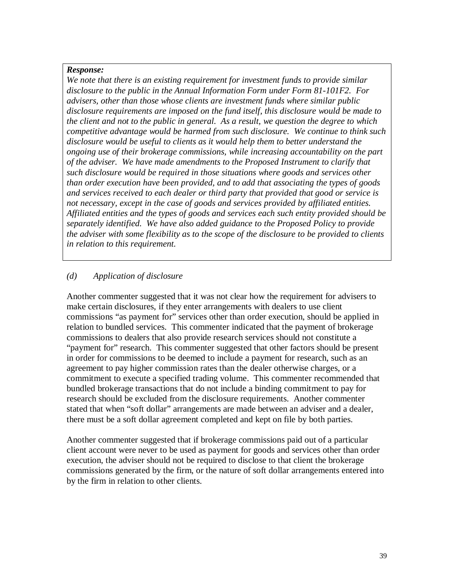*We note that there is an existing requirement for investment funds to provide similar disclosure to the public in the Annual Information Form under Form 81-101F2. For advisers, other than those whose clients are investment funds where similar public disclosure requirements are imposed on the fund itself, this disclosure would be made to the client and not to the public in general. As a result, we question the degree to which competitive advantage would be harmed from such disclosure. We continue to think such disclosure would be useful to clients as it would help them to better understand the ongoing use of their brokerage commissions, while increasing accountability on the part of the adviser. We have made amendments to the Proposed Instrument to clarify that such disclosure would be required in those situations where goods and services other than order execution have been provided, and to add that associating the types of goods and services received to each dealer or third party that provided that good or service is not necessary, except in the case of goods and services provided by affiliated entities. Affiliated entities and the types of goods and services each such entity provided should be separately identified. We have also added guidance to the Proposed Policy to provide the adviser with some flexibility as to the scope of the disclosure to be provided to clients in relation to this requirement.* 

# *(d) Application of disclosure*

Another commenter suggested that it was not clear how the requirement for advisers to make certain disclosures, if they enter arrangements with dealers to use client commissions "as payment for" services other than order execution, should be applied in relation to bundled services. This commenter indicated that the payment of brokerage commissions to dealers that also provide research services should not constitute a "payment for" research. This commenter suggested that other factors should be present in order for commissions to be deemed to include a payment for research, such as an agreement to pay higher commission rates than the dealer otherwise charges, or a commitment to execute a specified trading volume. This commenter recommended that bundled brokerage transactions that do not include a binding commitment to pay for research should be excluded from the disclosure requirements. Another commenter stated that when "soft dollar" arrangements are made between an adviser and a dealer, there must be a soft dollar agreement completed and kept on file by both parties.

Another commenter suggested that if brokerage commissions paid out of a particular client account were never to be used as payment for goods and services other than order execution, the adviser should not be required to disclose to that client the brokerage commissions generated by the firm, or the nature of soft dollar arrangements entered into by the firm in relation to other clients.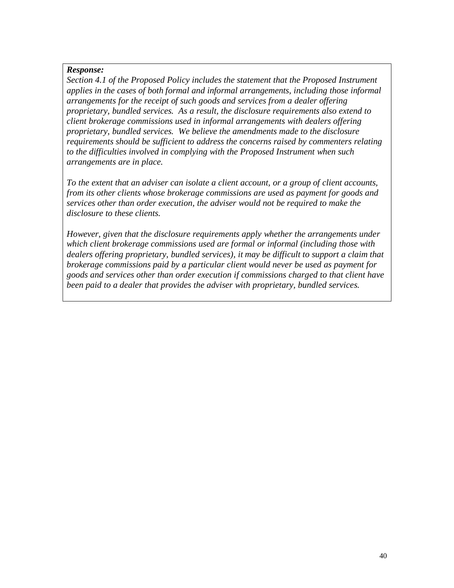*Section 4.1 of the Proposed Policy includes the statement that the Proposed Instrument applies in the cases of both formal and informal arrangements, including those informal arrangements for the receipt of such goods and services from a dealer offering proprietary, bundled services. As a result, the disclosure requirements also extend to client brokerage commissions used in informal arrangements with dealers offering proprietary, bundled services. We believe the amendments made to the disclosure requirements should be sufficient to address the concerns raised by commenters relating to the difficulties involved in complying with the Proposed Instrument when such arrangements are in place.* 

*To the extent that an adviser can isolate a client account, or a group of client accounts, from its other clients whose brokerage commissions are used as payment for goods and services other than order execution, the adviser would not be required to make the disclosure to these clients.* 

*However, given that the disclosure requirements apply whether the arrangements under which client brokerage commissions used are formal or informal (including those with dealers offering proprietary, bundled services), it may be difficult to support a claim that brokerage commissions paid by a particular client would never be used as payment for goods and services other than order execution if commissions charged to that client have been paid to a dealer that provides the adviser with proprietary, bundled services.*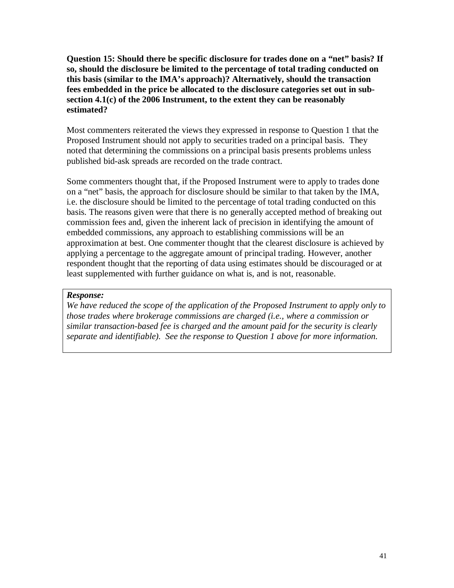**Question 15: Should there be specific disclosure for trades done on a "net" basis? If so, should the disclosure be limited to the percentage of total trading conducted on this basis (similar to the IMA's approach)? Alternatively, should the transaction fees embedded in the price be allocated to the disclosure categories set out in subsection 4.1(c) of the 2006 Instrument, to the extent they can be reasonably estimated?** 

Most commenters reiterated the views they expressed in response to Question 1 that the Proposed Instrument should not apply to securities traded on a principal basis. They noted that determining the commissions on a principal basis presents problems unless published bid-ask spreads are recorded on the trade contract.

Some commenters thought that, if the Proposed Instrument were to apply to trades done on a "net" basis, the approach for disclosure should be similar to that taken by the IMA, i.e. the disclosure should be limited to the percentage of total trading conducted on this basis. The reasons given were that there is no generally accepted method of breaking out commission fees and, given the inherent lack of precision in identifying the amount of embedded commissions, any approach to establishing commissions will be an approximation at best. One commenter thought that the clearest disclosure is achieved by applying a percentage to the aggregate amount of principal trading. However, another respondent thought that the reporting of data using estimates should be discouraged or at least supplemented with further guidance on what is, and is not, reasonable.

#### *Response:*

*We have reduced the scope of the application of the Proposed Instrument to apply only to those trades where brokerage commissions are charged (i.e., where a commission or similar transaction-based fee is charged and the amount paid for the security is clearly separate and identifiable). See the response to Question 1 above for more information.*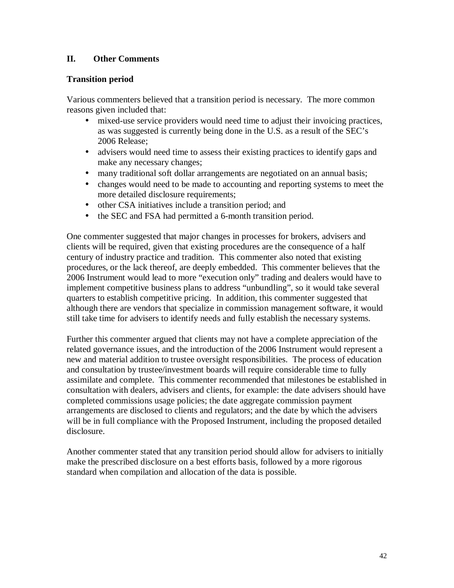# **II. Other Comments**

# **Transition period**

Various commenters believed that a transition period is necessary. The more common reasons given included that:

- mixed-use service providers would need time to adjust their invoicing practices, as was suggested is currently being done in the U.S. as a result of the SEC's 2006 Release;
- advisers would need time to assess their existing practices to identify gaps and make any necessary changes;
- many traditional soft dollar arrangements are negotiated on an annual basis;
- changes would need to be made to accounting and reporting systems to meet the more detailed disclosure requirements;
- other CSA initiatives include a transition period; and
- the SEC and FSA had permitted a 6-month transition period.

One commenter suggested that major changes in processes for brokers, advisers and clients will be required, given that existing procedures are the consequence of a half century of industry practice and tradition. This commenter also noted that existing procedures, or the lack thereof, are deeply embedded. This commenter believes that the 2006 Instrument would lead to more "execution only" trading and dealers would have to implement competitive business plans to address "unbundling", so it would take several quarters to establish competitive pricing. In addition, this commenter suggested that although there are vendors that specialize in commission management software, it would still take time for advisers to identify needs and fully establish the necessary systems.

Further this commenter argued that clients may not have a complete appreciation of the related governance issues, and the introduction of the 2006 Instrument would represent a new and material addition to trustee oversight responsibilities. The process of education and consultation by trustee/investment boards will require considerable time to fully assimilate and complete. This commenter recommended that milestones be established in consultation with dealers, advisers and clients, for example: the date advisers should have completed commissions usage policies; the date aggregate commission payment arrangements are disclosed to clients and regulators; and the date by which the advisers will be in full compliance with the Proposed Instrument, including the proposed detailed disclosure.

Another commenter stated that any transition period should allow for advisers to initially make the prescribed disclosure on a best efforts basis, followed by a more rigorous standard when compilation and allocation of the data is possible.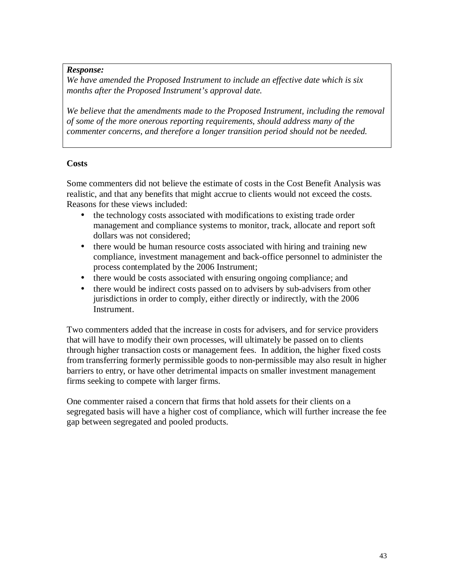*We have amended the Proposed Instrument to include an effective date which is six months after the Proposed Instrument's approval date.* 

*We believe that the amendments made to the Proposed Instrument, including the removal of some of the more onerous reporting requirements, should address many of the commenter concerns, and therefore a longer transition period should not be needed.*

# **Costs**

Some commenters did not believe the estimate of costs in the Cost Benefit Analysis was realistic, and that any benefits that might accrue to clients would not exceed the costs. Reasons for these views included:

- the technology costs associated with modifications to existing trade order management and compliance systems to monitor, track, allocate and report soft dollars was not considered;
- there would be human resource costs associated with hiring and training new compliance, investment management and back-office personnel to administer the process contemplated by the 2006 Instrument;
- there would be costs associated with ensuring ongoing compliance; and
- there would be indirect costs passed on to advisers by sub-advisers from other jurisdictions in order to comply, either directly or indirectly, with the 2006 Instrument.

Two commenters added that the increase in costs for advisers, and for service providers that will have to modify their own processes, will ultimately be passed on to clients through higher transaction costs or management fees. In addition, the higher fixed costs from transferring formerly permissible goods to non-permissible may also result in higher barriers to entry, or have other detrimental impacts on smaller investment management firms seeking to compete with larger firms.

One commenter raised a concern that firms that hold assets for their clients on a segregated basis will have a higher cost of compliance, which will further increase the fee gap between segregated and pooled products.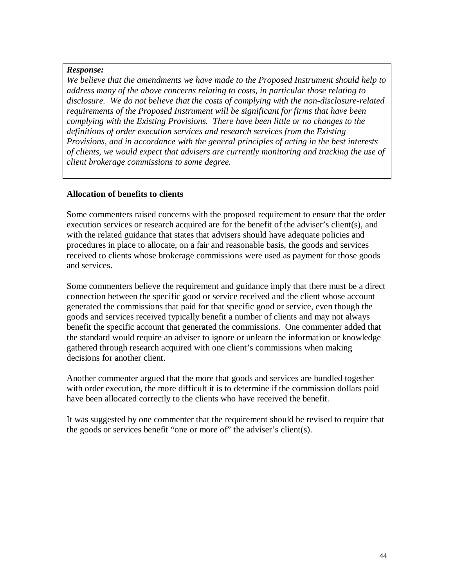*We believe that the amendments we have made to the Proposed Instrument should help to address many of the above concerns relating to costs, in particular those relating to disclosure. We do not believe that the costs of complying with the non-disclosure-related requirements of the Proposed Instrument will be significant for firms that have been complying with the Existing Provisions. There have been little or no changes to the definitions of order execution services and research services from the Existing Provisions, and in accordance with the general principles of acting in the best interests of clients, we would expect that advisers are currently monitoring and tracking the use of client brokerage commissions to some degree.* 

#### **Allocation of benefits to clients**

Some commenters raised concerns with the proposed requirement to ensure that the order execution services or research acquired are for the benefit of the adviser's client(s), and with the related guidance that states that advisers should have adequate policies and procedures in place to allocate, on a fair and reasonable basis, the goods and services received to clients whose brokerage commissions were used as payment for those goods and services.

Some commenters believe the requirement and guidance imply that there must be a direct connection between the specific good or service received and the client whose account generated the commissions that paid for that specific good or service, even though the goods and services received typically benefit a number of clients and may not always benefit the specific account that generated the commissions. One commenter added that the standard would require an adviser to ignore or unlearn the information or knowledge gathered through research acquired with one client's commissions when making decisions for another client.

Another commenter argued that the more that goods and services are bundled together with order execution, the more difficult it is to determine if the commission dollars paid have been allocated correctly to the clients who have received the benefit.

It was suggested by one commenter that the requirement should be revised to require that the goods or services benefit "one or more of" the adviser's client(s).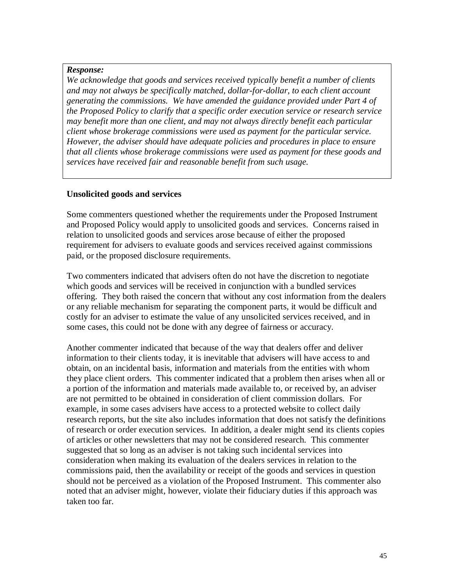*We acknowledge that goods and services received typically benefit a number of clients and may not always be specifically matched, dollar-for-dollar, to each client account generating the commissions. We have amended the guidance provided under Part 4 of the Proposed Policy to clarify that a specific order execution service or research service may benefit more than one client, and may not always directly benefit each particular client whose brokerage commissions were used as payment for the particular service. However, the adviser should have adequate policies and procedures in place to ensure that all clients whose brokerage commissions were used as payment for these goods and services have received fair and reasonable benefit from such usage.* 

#### **Unsolicited goods and services**

Some commenters questioned whether the requirements under the Proposed Instrument and Proposed Policy would apply to unsolicited goods and services. Concerns raised in relation to unsolicited goods and services arose because of either the proposed requirement for advisers to evaluate goods and services received against commissions paid, or the proposed disclosure requirements.

Two commenters indicated that advisers often do not have the discretion to negotiate which goods and services will be received in conjunction with a bundled services offering. They both raised the concern that without any cost information from the dealers or any reliable mechanism for separating the component parts, it would be difficult and costly for an adviser to estimate the value of any unsolicited services received, and in some cases, this could not be done with any degree of fairness or accuracy.

Another commenter indicated that because of the way that dealers offer and deliver information to their clients today, it is inevitable that advisers will have access to and obtain, on an incidental basis, information and materials from the entities with whom they place client orders. This commenter indicated that a problem then arises when all or a portion of the information and materials made available to, or received by, an adviser are not permitted to be obtained in consideration of client commission dollars. For example, in some cases advisers have access to a protected website to collect daily research reports, but the site also includes information that does not satisfy the definitions of research or order execution services. In addition, a dealer might send its clients copies of articles or other newsletters that may not be considered research. This commenter suggested that so long as an adviser is not taking such incidental services into consideration when making its evaluation of the dealers services in relation to the commissions paid, then the availability or receipt of the goods and services in question should not be perceived as a violation of the Proposed Instrument. This commenter also noted that an adviser might, however, violate their fiduciary duties if this approach was taken too far.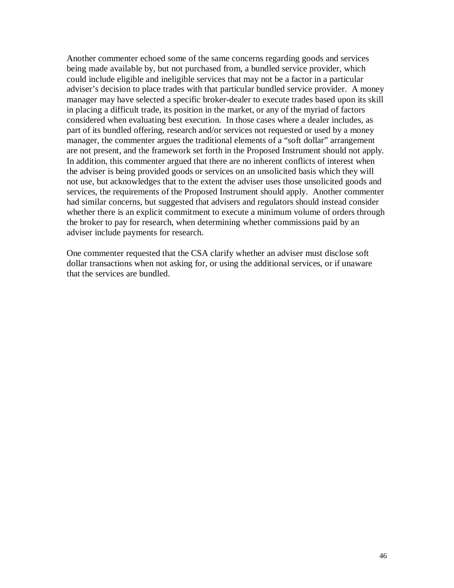Another commenter echoed some of the same concerns regarding goods and services being made available by, but not purchased from, a bundled service provider, which could include eligible and ineligible services that may not be a factor in a particular adviser's decision to place trades with that particular bundled service provider. A money manager may have selected a specific broker-dealer to execute trades based upon its skill in placing a difficult trade, its position in the market, or any of the myriad of factors considered when evaluating best execution. In those cases where a dealer includes, as part of its bundled offering, research and/or services not requested or used by a money manager, the commenter argues the traditional elements of a "soft dollar" arrangement are not present, and the framework set forth in the Proposed Instrument should not apply. In addition, this commenter argued that there are no inherent conflicts of interest when the adviser is being provided goods or services on an unsolicited basis which they will not use, but acknowledges that to the extent the adviser uses those unsolicited goods and services, the requirements of the Proposed Instrument should apply. Another commenter had similar concerns, but suggested that advisers and regulators should instead consider whether there is an explicit commitment to execute a minimum volume of orders through the broker to pay for research, when determining whether commissions paid by an adviser include payments for research.

One commenter requested that the CSA clarify whether an adviser must disclose soft dollar transactions when not asking for, or using the additional services, or if unaware that the services are bundled.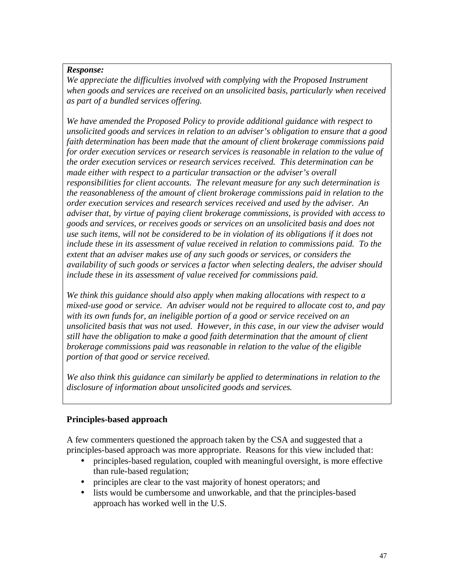We appreciate the difficulties involved with complying with the Proposed Instrument *when goods and services are received on an unsolicited basis, particularly when received as part of a bundled services offering.* 

*We have amended the Proposed Policy to provide additional guidance with respect to unsolicited goods and services in relation to an adviser's obligation to ensure that a good faith determination has been made that the amount of client brokerage commissions paid for order execution services or research services is reasonable in relation to the value of the order execution services or research services received. This determination can be made either with respect to a particular transaction or the adviser's overall responsibilities for client accounts. The relevant measure for any such determination is the reasonableness of the amount of client brokerage commissions paid in relation to the order execution services and research services received and used by the adviser. An adviser that, by virtue of paying client brokerage commissions, is provided with access to goods and services, or receives goods or services on an unsolicited basis and does not use such items, will not be considered to be in violation of its obligations if it does not include these in its assessment of value received in relation to commissions paid. To the extent that an adviser makes use of any such goods or services, or considers the availability of such goods or services a factor when selecting dealers, the adviser should include these in its assessment of value received for commissions paid.* 

*We think this guidance should also apply when making allocations with respect to a mixed-use good or service. An adviser would not be required to allocate cost to, and pay with its own funds for, an ineligible portion of a good or service received on an unsolicited basis that was not used. However, in this case, in our view the adviser would still have the obligation to make a good faith determination that the amount of client brokerage commissions paid was reasonable in relation to the value of the eligible portion of that good or service received.* 

*We also think this guidance can similarly be applied to determinations in relation to the disclosure of information about unsolicited goods and services.* 

# **Principles-based approach**

A few commenters questioned the approach taken by the CSA and suggested that a principles-based approach was more appropriate. Reasons for this view included that:

- principles-based regulation, coupled with meaningful oversight, is more effective than rule-based regulation;
- principles are clear to the vast majority of honest operators; and
- lists would be cumbersome and unworkable, and that the principles-based approach has worked well in the U.S.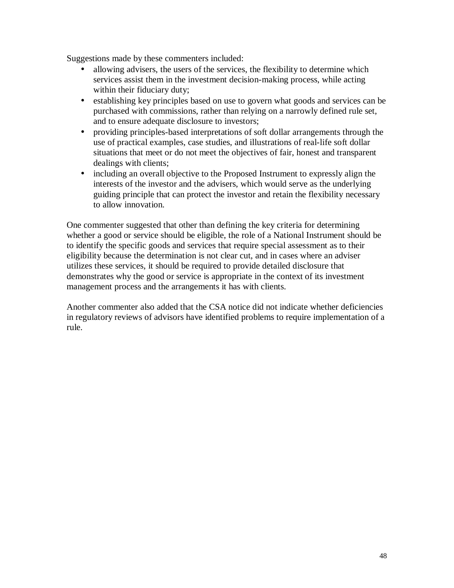Suggestions made by these commenters included:

- allowing advisers, the users of the services, the flexibility to determine which services assist them in the investment decision-making process, while acting within their fiduciary duty;
- establishing key principles based on use to govern what goods and services can be purchased with commissions, rather than relying on a narrowly defined rule set, and to ensure adequate disclosure to investors;
- providing principles-based interpretations of soft dollar arrangements through the use of practical examples, case studies, and illustrations of real-life soft dollar situations that meet or do not meet the objectives of fair, honest and transparent dealings with clients;
- including an overall objective to the Proposed Instrument to expressly align the interests of the investor and the advisers, which would serve as the underlying guiding principle that can protect the investor and retain the flexibility necessary to allow innovation.

One commenter suggested that other than defining the key criteria for determining whether a good or service should be eligible, the role of a National Instrument should be to identify the specific goods and services that require special assessment as to their eligibility because the determination is not clear cut, and in cases where an adviser utilizes these services, it should be required to provide detailed disclosure that demonstrates why the good or service is appropriate in the context of its investment management process and the arrangements it has with clients.

Another commenter also added that the CSA notice did not indicate whether deficiencies in regulatory reviews of advisors have identified problems to require implementation of a rule.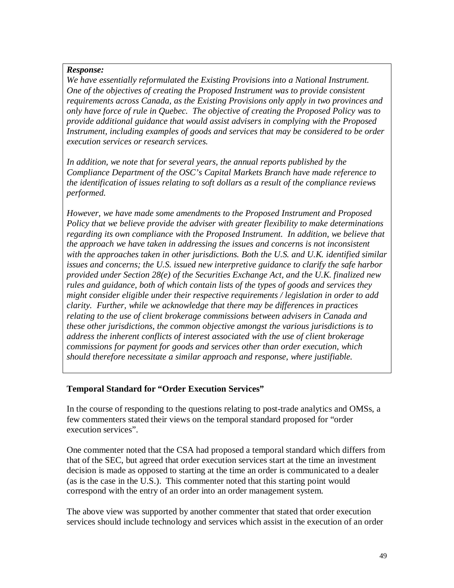*We have essentially reformulated the Existing Provisions into a National Instrument. One of the objectives of creating the Proposed Instrument was to provide consistent requirements across Canada, as the Existing Provisions only apply in two provinces and only have force of rule in Quebec. The objective of creating the Proposed Policy was to provide additional guidance that would assist advisers in complying with the Proposed Instrument, including examples of goods and services that may be considered to be order execution services or research services.* 

*In addition, we note that for several years, the annual reports published by the Compliance Department of the OSC's Capital Markets Branch have made reference to the identification of issues relating to soft dollars as a result of the compliance reviews performed.* 

*However, we have made some amendments to the Proposed Instrument and Proposed Policy that we believe provide the adviser with greater flexibility to make determinations regarding its own compliance with the Proposed Instrument. In addition, we believe that the approach we have taken in addressing the issues and concerns is not inconsistent with the approaches taken in other jurisdictions. Both the U.S. and U.K. identified similar issues and concerns; the U.S. issued new interpretive guidance to clarify the safe harbor provided under Section 28(e) of the Securities Exchange Act, and the U.K. finalized new rules and guidance, both of which contain lists of the types of goods and services they might consider eligible under their respective requirements / legislation in order to add clarity. Further, while we acknowledge that there may be differences in practices relating to the use of client brokerage commissions between advisers in Canada and these other jurisdictions, the common objective amongst the various jurisdictions is to address the inherent conflicts of interest associated with the use of client brokerage commissions for payment for goods and services other than order execution, which should therefore necessitate a similar approach and response, where justifiable.* 

# **Temporal Standard for "Order Execution Services"**

In the course of responding to the questions relating to post-trade analytics and OMSs, a few commenters stated their views on the temporal standard proposed for "order execution services".

One commenter noted that the CSA had proposed a temporal standard which differs from that of the SEC, but agreed that order execution services start at the time an investment decision is made as opposed to starting at the time an order is communicated to a dealer (as is the case in the U.S.). This commenter noted that this starting point would correspond with the entry of an order into an order management system.

The above view was supported by another commenter that stated that order execution services should include technology and services which assist in the execution of an order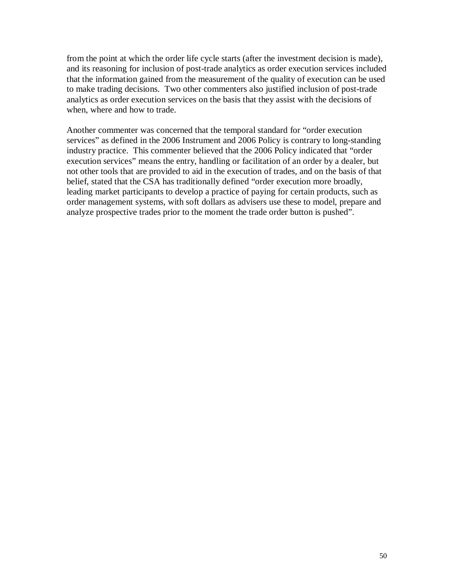from the point at which the order life cycle starts (after the investment decision is made), and its reasoning for inclusion of post-trade analytics as order execution services included that the information gained from the measurement of the quality of execution can be used to make trading decisions. Two other commenters also justified inclusion of post-trade analytics as order execution services on the basis that they assist with the decisions of when, where and how to trade.

Another commenter was concerned that the temporal standard for "order execution services" as defined in the 2006 Instrument and 2006 Policy is contrary to long-standing industry practice. This commenter believed that the 2006 Policy indicated that "order execution services" means the entry, handling or facilitation of an order by a dealer, but not other tools that are provided to aid in the execution of trades, and on the basis of that belief, stated that the CSA has traditionally defined "order execution more broadly, leading market participants to develop a practice of paying for certain products, such as order management systems, with soft dollars as advisers use these to model, prepare and analyze prospective trades prior to the moment the trade order button is pushed".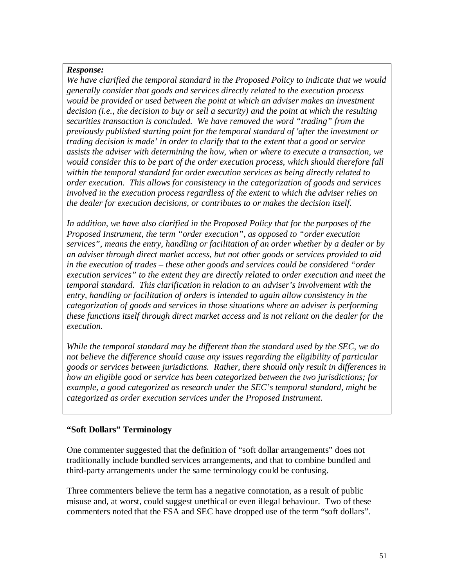*We have clarified the temporal standard in the Proposed Policy to indicate that we would generally consider that goods and services directly related to the execution process would be provided or used between the point at which an adviser makes an investment decision (i.e., the decision to buy or sell a security) and the point at which the resulting securities transaction is concluded. We have removed the word "trading" from the previously published starting point for the temporal standard of 'after the investment or trading decision is made' in order to clarify that to the extent that a good or service assists the adviser with determining the how, when or where to execute a transaction, we would consider this to be part of the order execution process, which should therefore fall within the temporal standard for order execution services as being directly related to order execution. This allows for consistency in the categorization of goods and services involved in the execution process regardless of the extent to which the adviser relies on the dealer for execution decisions, or contributes to or makes the decision itself.* 

*In addition, we have also clarified in the Proposed Policy that for the purposes of the Proposed Instrument, the term "order execution", as opposed to "order execution services", means the entry, handling or facilitation of an order whether by a dealer or by an adviser through direct market access, but not other goods or services provided to aid in the execution of trades – these other goods and services could be considered "order execution services" to the extent they are directly related to order execution and meet the temporal standard. This clarification in relation to an adviser's involvement with the entry, handling or facilitation of orders is intended to again allow consistency in the categorization of goods and services in those situations where an adviser is performing these functions itself through direct market access and is not reliant on the dealer for the execution.* 

*While the temporal standard may be different than the standard used by the SEC, we do not believe the difference should cause any issues regarding the eligibility of particular goods or services between jurisdictions. Rather, there should only result in differences in how an eligible good or service has been categorized between the two jurisdictions; for example, a good categorized as research under the SEC's temporal standard, might be categorized as order execution services under the Proposed Instrument.* 

# **"Soft Dollars" Terminology**

One commenter suggested that the definition of "soft dollar arrangements" does not traditionally include bundled services arrangements, and that to combine bundled and third-party arrangements under the same terminology could be confusing.

Three commenters believe the term has a negative connotation, as a result of public misuse and, at worst, could suggest unethical or even illegal behaviour. Two of these commenters noted that the FSA and SEC have dropped use of the term "soft dollars".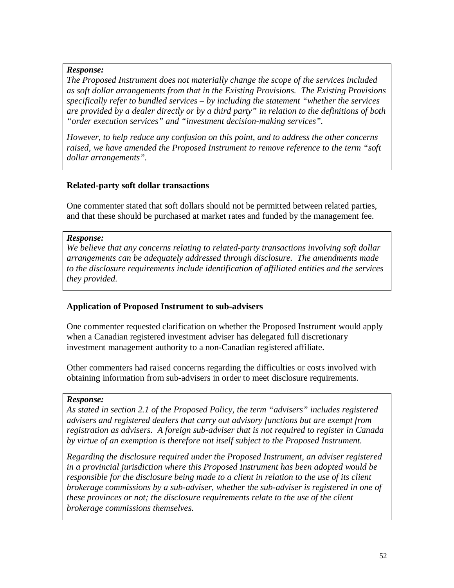*The Proposed Instrument does not materially change the scope of the services included as soft dollar arrangements from that in the Existing Provisions. The Existing Provisions specifically refer to bundled services – by including the statement "whether the services are provided by a dealer directly or by a third party" in relation to the definitions of both "order execution services" and "investment decision-making services".* 

*However, to help reduce any confusion on this point, and to address the other concerns raised, we have amended the Proposed Instrument to remove reference to the term "soft dollar arrangements".* 

# **Related-party soft dollar transactions**

One commenter stated that soft dollars should not be permitted between related parties, and that these should be purchased at market rates and funded by the management fee.

### *Response:*

*We believe that any concerns relating to related-party transactions involving soft dollar arrangements can be adequately addressed through disclosure. The amendments made to the disclosure requirements include identification of affiliated entities and the services they provided.*

# **Application of Proposed Instrument to sub-advisers**

One commenter requested clarification on whether the Proposed Instrument would apply when a Canadian registered investment adviser has delegated full discretionary investment management authority to a non-Canadian registered affiliate.

Other commenters had raised concerns regarding the difficulties or costs involved with obtaining information from sub-advisers in order to meet disclosure requirements.

#### *Response:*

*As stated in section 2.1 of the Proposed Policy, the term "advisers" includes registered advisers and registered dealers that carry out advisory functions but are exempt from registration as advisers. A foreign sub-adviser that is not required to register in Canada by virtue of an exemption is therefore not itself subject to the Proposed Instrument.* 

*Regarding the disclosure required under the Proposed Instrument, an adviser registered in a provincial jurisdiction where this Proposed Instrument has been adopted would be responsible for the disclosure being made to a client in relation to the use of its client brokerage commissions by a sub-adviser, whether the sub-adviser is registered in one of these provinces or not; the disclosure requirements relate to the use of the client brokerage commissions themselves.*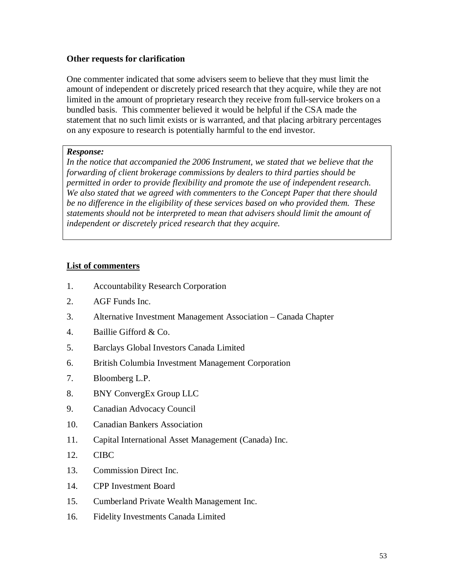### **Other requests for clarification**

One commenter indicated that some advisers seem to believe that they must limit the amount of independent or discretely priced research that they acquire, while they are not limited in the amount of proprietary research they receive from full-service brokers on a bundled basis. This commenter believed it would be helpful if the CSA made the statement that no such limit exists or is warranted, and that placing arbitrary percentages on any exposure to research is potentially harmful to the end investor.

#### *Response:*

In the notice that accompanied the 2006 Instrument, we stated that we believe that the *forwarding of client brokerage commissions by dealers to third parties should be permitted in order to provide flexibility and promote the use of independent research. We also stated that we agreed with commenters to the Concept Paper that there should be no difference in the eligibility of these services based on who provided them. These statements should not be interpreted to mean that advisers should limit the amount of independent or discretely priced research that they acquire.* 

#### **List of commenters**

- 1. Accountability Research Corporation
- 2. AGF Funds Inc.
- 3. Alternative Investment Management Association Canada Chapter
- 4. Baillie Gifford & Co.
- 5. Barclays Global Investors Canada Limited
- 6. British Columbia Investment Management Corporation
- 7. Bloomberg L.P.
- 8. BNY ConvergEx Group LLC
- 9. Canadian Advocacy Council
- 10. Canadian Bankers Association
- 11. Capital International Asset Management (Canada) Inc.
- 12. CIBC
- 13. Commission Direct Inc.
- 14. CPP Investment Board
- 15. Cumberland Private Wealth Management Inc.
- 16. Fidelity Investments Canada Limited